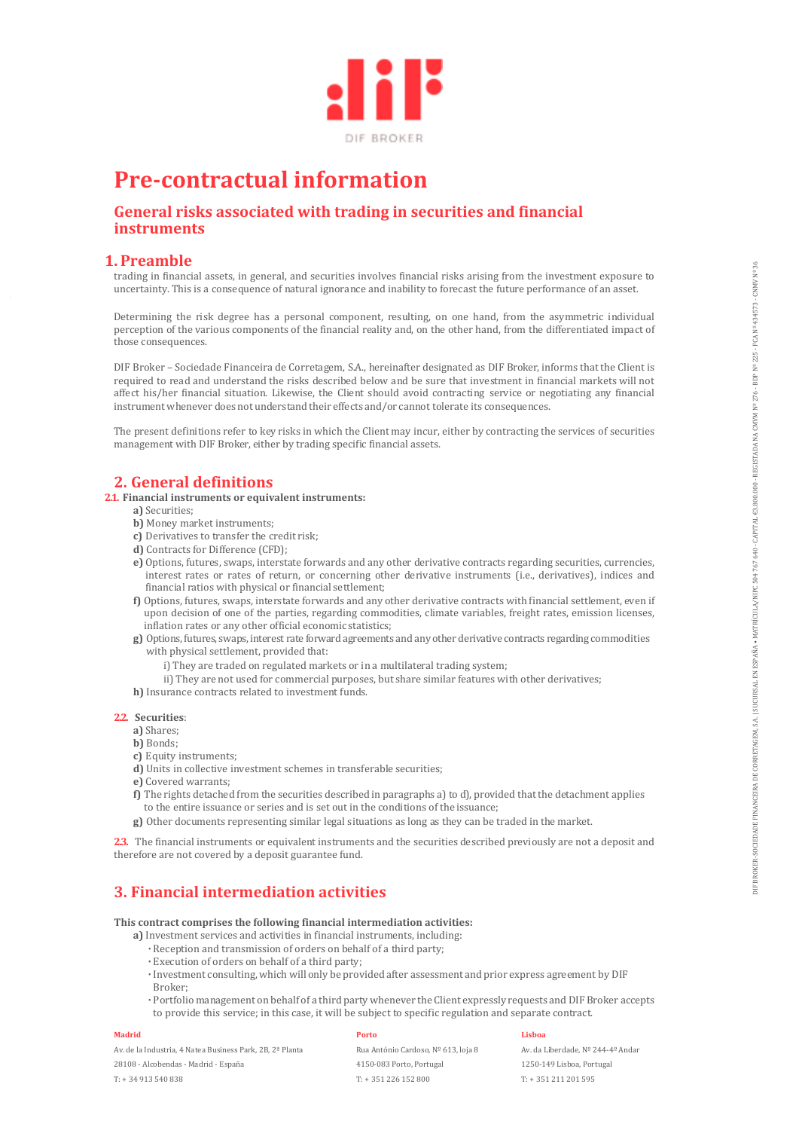

# **Pre-contractual information**

# **General risks associated with trading in securities and financial instruments**

## **1. Preamble**

trading in financial assets, in general, and securities involves financial risks arising from the investment exposure to uncertainty. This is a consequence of natural ignorance and inability to forecast the future performance of an asset.

Determining the risk degree has a personal component, resulting, on one hand, from the asymmetric individual perception of the various components of the financial reality and, on the other hand, from the differentiated impact of those consequences.

DIF Broker – Sociedade Financeira de Corretagem, S.A., hereinafter designated as DIF Broker, informs that the Client is required to read and understand the risks described below and be sure that investment in financial markets will not affect his/her financial situation. Likewise, the Client should avoid contracting service or negotiating any financial instrument whenever does not understand their effects and/or cannot tolerate its consequences. n based at some time present and constraints mealing the function and proportion and the two means of the proportion of the state of the state of the state of the state of the state of the state of the state of the state o

The present definitions refer to key risks in which the Client may incur, either by contracting the services of securities management with DIF Broker, either by trading specific financial assets.

# **2. General definitions**

#### **2.1. Financial instruments or equivalent instruments:**

- **a)** Securities;
- **b)** Money market instruments;
- **c)** Derivatives to transfer the credit risk;
- **d)** Contracts for Difference (CFD);
- **e)** Options, futures, swaps, interstate forwards and any other derivative contracts regarding securities, currencies, interest rates or rates of return, or concerning other derivative instruments (i.e., derivatives), indices and financial ratios with physical or financial settlement;
- **f)** Options, futures, swaps, interstate forwards and any other derivative contracts with financial settlement, even if upon decision of one of the parties, regarding commodities, climate variables, freight rates, emission licenses, inflation rates or any other official economic statistics;
- **g)** Options, futures, swaps, interest rate forward agreements and any other derivative contracts regarding commodities with physical settlement, provided that:
	- i) They are traded on regulated markets or in a multilateral trading system;
- ii) They are not used for commercial purposes, but share similar features with other derivatives;
- **h)** Insurance contracts related to investment funds.

#### **2.2. Securities**:

- **a)** Shares;
- **b)** Bonds;
- **c)** Equity instruments;
- **d)** Units in collective investment schemes in transferable securities;
- **e)** Covered warrants;
- **f)** The rights detached from the securities described in paragraphs a) to d), provided that the detachment applies to the entire issuance or series and is set out in the conditions of the issuance;
- **g)** Other documents representing similar legal situations as long as they can be traded in the market.

**2.3.** The financial instruments or equivalent instruments and the securities described previously are not a deposit and therefore are not covered by a deposit guarantee fund.

# **3. Financial intermediation activities**

**This contract comprises the following financial intermediation activities:**

- **a)** Investment services and activities in financial instruments, including:
	- **·** Reception and transmission of orders on behalf of a third party;
	- **·** Execution of orders on behalf of a third party;
	- **·** Investment consulting, which will only be provided after assessment and prior express agreement by DIF Broker;
	- **·** Portfolio management on behalf of a third party whenever the Client expressly requests and DIF Broker accepts

#### **Madrid**

Av. de la Industria, 4 Natea Business Park, 2B, 2ª Planta

28108 - Alcobendas - Madrid - España

T: + 34 913 540 838

#### **Porto**

Rua António Cardoso, Nº 613, loja 8 4150-083 Porto, Portugal T: + 351 226 152 800

#### **Lisboa**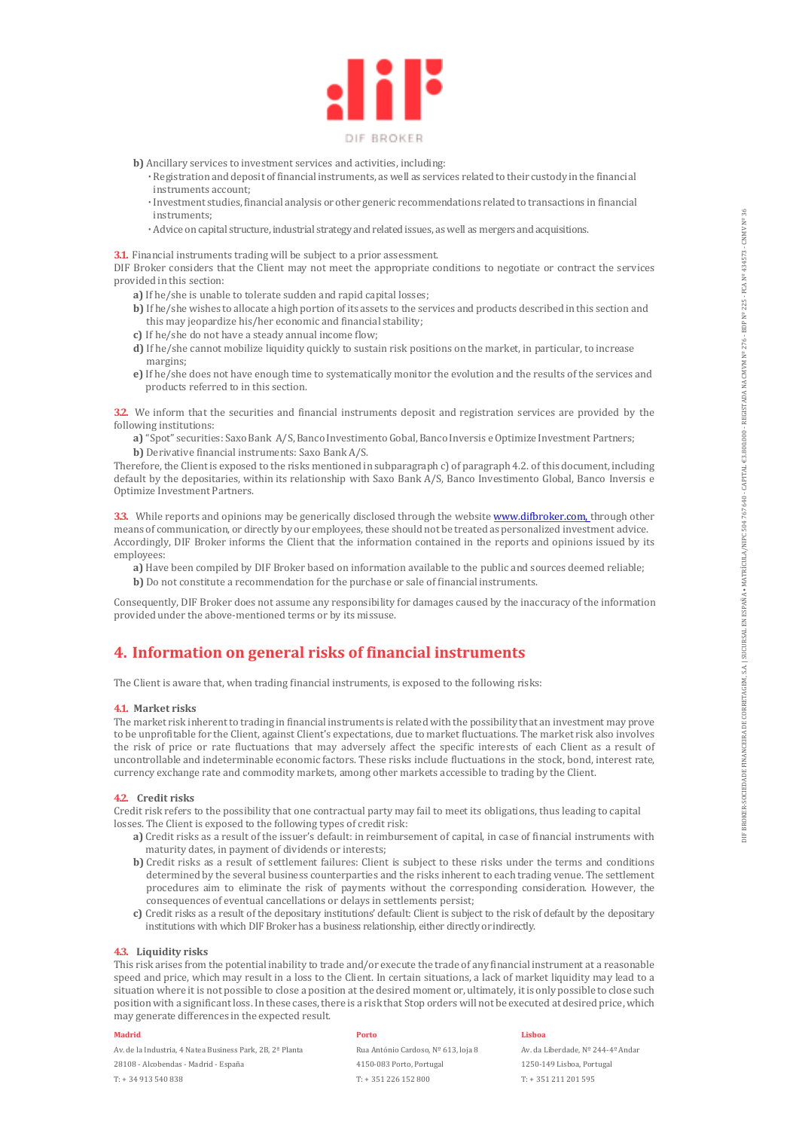

- **b)** Ancillary services to investment services and activities, including:
	- **·** Registration and deposit of financial instruments, as well as services related to their custody in the financial instruments account;
	- **·** Investment studies, financial analysis or other generic recommendations related to transactions in financial instruments;
- **·** Advice on capital structure, industrial strategy and related issues, as well as mergers and acquisitions.

**3.1.** Financial instruments trading will be subject to a prior assessment.

DIF Broker considers that the Client may not meet the appropriate conditions to negotiate or contract the services provided in this section:

- **a)** If he/she is unable to tolerate sudden and rapid capital losses;
- **b)** If he/she wishes to allocate a high portion of its assets to the services and products described in this section and this may jeopardize his/her economic and financial stability;
- **c)** If he/she do not have a steady annual income flow;
- **d)** If he/she cannot mobilize liquidity quickly to sustain risk positions on the market, in particular, to increase margins;
- **e)** If he/she does not have enough time to systematically monitor the evolution and the results of the services and products referred to in this section.

**3.2.** We inform that the securities and financial instruments deposit and registration services are provided by the following institutions:

**a)** "Spot" securities: Saxo Bank A/S, Banco Investimento Gobal, Banco Inversis e Optimize Investment Partners; **b)** Derivative financial instruments: Saxo Bank A/S.

Therefore, the Client is exposed to the risks mentioned in subparagraph c) of paragraph 4.2. of this document, including default by the depositaries, within its relationship with Saxo Bank A/S, Banco Investimento Global, Banco Inversis e Optimize Investment Partners.

**3.3.** While reports and opinions may be generically disclosed through the website www.difbroker.com, through other means of communication, or directly by our employees, these should not be treated as personalized investment advice. Accordingly, DIF Broker informs the Client that the information contained in the reports and opinions issued by its employees:

**a)** Have been compiled by DIF Broker based on information available to the public and sources deemed reliable; **b)** Do not constitute a recommendation for the purchase or sale of financial instruments.

Consequently, DIF Broker does not assume any responsibility for damages caused by the inaccuracy of the information provided under the above-mentioned terms or by its missuse.

# **4. Information on general risks of financial instruments**

The Client is aware that, when trading financial instruments, is exposed to the following risks:

#### **4.1. Market risks**

The market risk inherent to trading in financial instruments is related with the possibility that an investment may prove to be unprofitable for the Client, against Client's expectations, due to market fluctuations. The market risk also involves the risk of price or rate fluctuations that may adversely affect the specific interests of each Client as a result of uncontrollable and indeterminable economic factors. These risks include fluctuations in the stock, bond, interest rate, currency exchange rate and commodity markets, among other markets accessible to trading by the Client.

#### **4.2. Credit risks**

Credit risk refers to the possibility that one contractual party may fail to meet its obligations, thus leading to capital losses. The Client is exposed to the following types of credit risk:

- **a)** Credit risks as a result of the issuer's default: in reimbursement of capital, in case of financial instruments with maturity dates, in payment of dividends or interests;
- **b)** Credit risks as a result of settlement failures: Client is subject to these risks under the terms and conditions determined by the several business counterparties and the risks inherent to each trading venue. The settlement procedures aim to eliminate the risk of payments without the corresponding consideration. However, the consequences of eventual cancellations or delays in settlements persist;
- **c)** Credit risks as a result of the depositary institutions' default: Client is subject to the risk of default by the depositary institutions with which DIF Broker has a business relationship, either directly or indirectly.

#### **4.3. Liquidity risks**

This risk arises from the potential inability to trade and/or execute the trade of any financial instrument at a reasonable speed and price, which may result in a loss to the Client. In certain situations, a lack of market liquidity may lead to a situation where it is not possible to close a position at the desired moment or, ultimately, it is only possible to close such position with a significant loss. In these cases, there is a risk that Stop orders will not be executed at desired price, which may generate differences in the expected result.

#### **Madrid**

Av. de la Industria, 4 Natea Business Park, 2B, 2ª Planta 28108 - Alcobendas - Madrid - España T: + 34 913 540 838

#### **Porto**

Rua António Cardoso, Nº 613, loja 8 4150-083 Porto, Portugal T: + 351 226 152 800

### **Lisboa**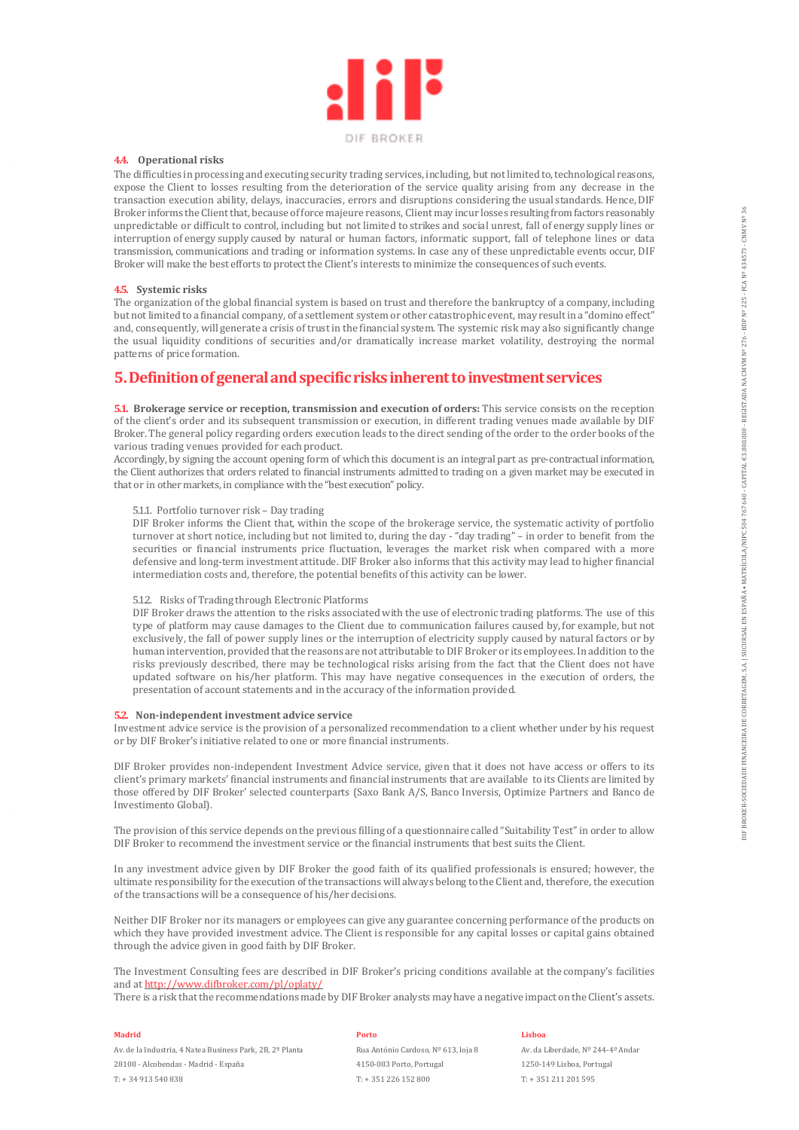

#### **4.4. Operational risks**

The difficulties in processing and executing security trading services, including, but not limited to, technological reasons, expose the Client to losses resulting from the deterioration of the service quality arising from any decrease in the transaction execution ability, delays, inaccuracies, errors and disruptions considering the usual standards. Hence, DIF Broker informs the Client that, because of force majeure reasons, Client may incur losses resulting from factors reasonably unpredictable or difficult to control, including but not limited to strikes and social unrest, fall of energy supply lines or interruption of energy supply caused by natural or human factors, informatic support, fall of telephone lines or data transmission, communications and trading or information systems. In case any of these unpredictable events occur, DIF Broker will make the best efforts to protect the Client's interests to minimize the consequences of such events.

#### **4.5. Systemic risks**

The organization of the global financial system is based on trust and therefore the bankruptcy of a company, including but not limited to a financial company, of a settlement system or other catastrophic event, may result in a "domino effect" and, consequently, will generate a crisis of trust in the financial system. The systemic risk may also significantly change the usual liquidity conditions of securities and/or dramatically increase market volatility, destroying the normal patterns of price formation.

## **5.Definition of general and specific risks inherent to investment services**

**5.1. Brokerage service or reception, transmission and execution of orders:** This service consists on the reception of the client's order and its subsequent transmission or execution, in different trading venues made available by DIF Broker. The general policy regarding orders execution leads to the direct sending of the order to the order books of the various trading venues provided for each product.

Accordingly, by signing the account opening form of which this document is an integral part as pre-contractual information, the Client authorizes that orders related to financial instruments admitted to trading on a given market may be executed in that or in other markets, in compliance with the "best execution" policy.

#### 5.1.1. Portfolio turnover risk – Day trading

DIF Broker informs the Client that, within the scope of the brokerage service, the systematic activity of portfolio turnover at short notice, including but not limited to, during the day - "day trading" – in order to benefit from the securities or financial instruments price fluctuation, leverages the market risk when compared with a more defensive and long-term investment attitude. DIF Broker also informs that this activity may lead to higher financial intermediation costs and, therefore, the potential benefits of this activity can be lower.

#### 5.1.2. Risks of Trading through Electronic Platforms

DIF Broker draws the attention to the risks associated with the use of electronic trading platforms. The use of this type of platform may cause damages to the Client due to communication failures caused by, for example, but not exclusively, the fall of power supply lines or the interruption of electricity supply caused by natural factors or by human intervention, provided that the reasons are not attributable to DIF Broker or its employees. In addition to the risks previously described, there may be technological risks arising from the fact that the Client does not have updated software on his/her platform. This may have negative consequences in the execution of orders, the presentation of account statements and in the accuracy of the information provided.

#### **5.2. Non-independent investment advice service**

Investment advice service is the provision of a personalized recommendation to a client whether under by his request or by DIF Broker's initiative related to one or more financial instruments.

DIF Broker provides non-independent Investment Advice service, given that it does not have access or offers to its client's primary markets' financial instruments and financial instruments that are available to its Clients are limited by those offered by DIF Broker' selected counterparts (Saxo Bank A/S, Banco Inversis, Optimize Partners and Banco de Investimento Global).

The provision of this service depends on the previous filling of a questionnaire called "Suitability Test" in order to allow DIF Broker to recommend the investment service or the financial instruments that best suits the Client.

In any investment advice given by DIF Broker the good faith of its qualified professionals is ensured; however, the ultimate responsibility for the execution of the transactions will always belong to the Client and, therefore, the execution of the transactions will be a consequence of his/her decisions.

Neither DIF Broker nor its managers or employees can give any guarantee concerning performance of the products on which they have provided investment advice. The Client is responsible for any capital losses or capital gains obtained through the advice given in good faith by DIF Broker.

The Investment Consulting fees are described in DIF Broker's pricing conditions available at the company's facilities and at http://www.difbroker.com/pl/oplaty/

There is a risk that the recommendations made by DIF Broker analysts may have a negative impact on the Client's assets.

#### **Madrid**

Av. de la Industria, 4 Natea Business Park, 2B, 2ª Planta 28108 - Alcobendas - Madrid - España T: + 34 913 540 838

#### **Porto**

Rua António Cardoso, Nº 613, loja 8 4150-083 Porto, Portugal T: + 351 226 152 800

#### **Lisboa**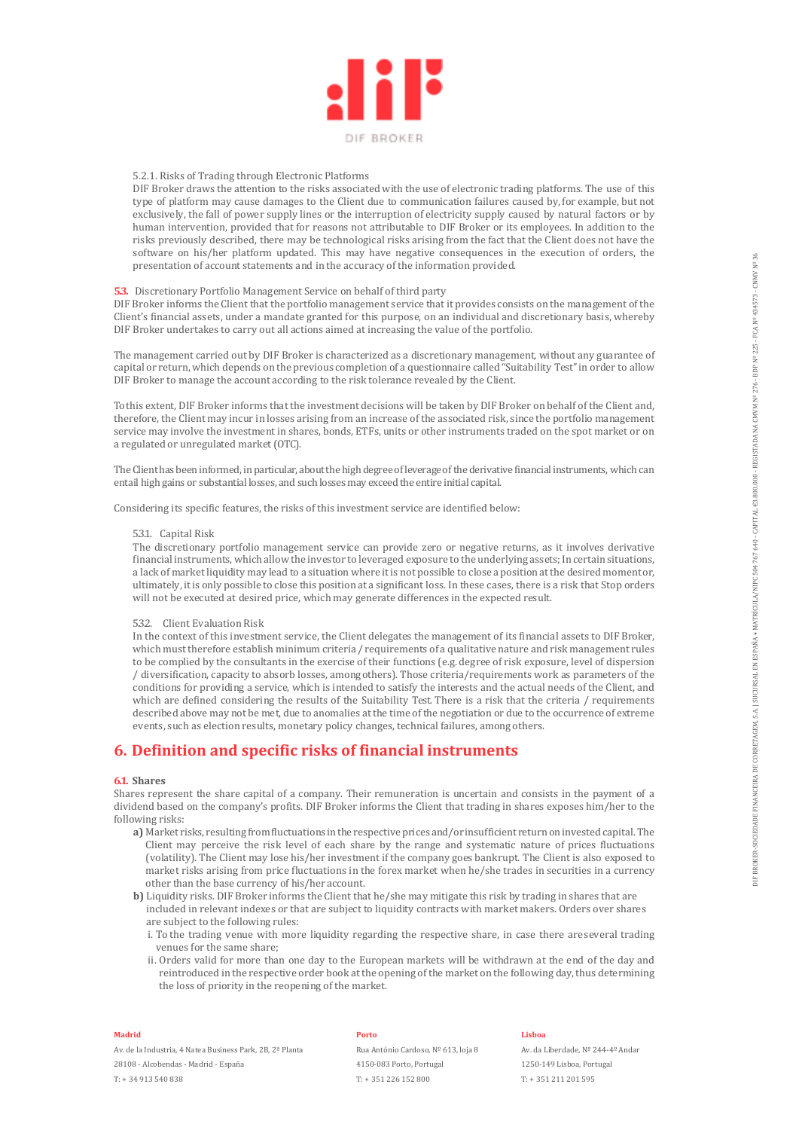

#### 5.2.1. Risks of Trading through Electronic Platforms

DIF Broker draws the attention to the risks associated with the use of electronic trading platforms. The use of this type of platform may cause damages to the Client due to communication failures caused by, for example, but not exclusively, the fall of power supply lines or the interruption of electricity supply caused by natural factors or by human intervention, provided that for reasons not attributable to DIF Broker or its employees. In addition to the risks previously described, there may be technological risks arising from the fact that the Client does not have the software on his/her platform updated. This may have negative consequences in the execution of orders, the presentation of account statements and in the accuracy of the information provided.

#### **5.3.** Discretionary Portfolio Management Service on behalf of third party

DIF Broker informs the Client that the portfolio management service that it provides consists on the management of the Client's financial assets, under a mandate granted for this purpose, on an individual and discretionary basis, whereby DIF Broker undertakes to carry out all actions aimed at increasing the value of the portfolio.

The management carried out by DIF Broker is characterized as a discretionary management, without any guarantee of capital or return, which depends on the previous completion of a questionnaire called "Suitability Test" in order to allow DIF Broker to manage the account according to the risk tolerance revealed by the Client.

To this extent, DIF Broker informs that the investment decisions will be taken by DIF Broker on behalf of the Client and, therefore, the Client may incur in losses arising from an increase of the associated risk, since the portfolio management service may involve the investment in shares, bonds, ETFs, units or other instruments traded on the spot market or on a regulated or unregulated market (OTC).

The Client has been informed, in particular, about the high degree of leverage of the derivative financial instruments, which can entail high gains or substantial losses, and such losses may exceed the entire initial capital.

Considering its specific features, the risks of this investment service are identified below:

#### 5.3.1. Capital Risk

The discretionary portfolio management service can provide zero or negative returns, as it involves derivative financial instruments, which allow the investor to leveraged exposure to the underlying assets; In certain situations, a lack of market liquidity may lead to a situation where it is not possible to close a position at the desired moment or, ultimately, it is only possible to close this position at a significant loss. In these cases, there is a risk that Stop orders will not be executed at desired price, which may generate differences in the expected result.

#### 5.3.2. Client Evaluation Risk

In the context of this investment service, the Client delegates the management of its financial assets to DIF Broker, which must therefore establish minimum criteria / requirements of a qualitative nature and risk management rules to be complied by the consultants in the exercise of their functions (e.g. degree of risk exposure, level of dispersion / diversification, capacity to absorb losses, among others). Those criteria/requirements work as parameters of the conditions for providing a service, which is intended to satisfy the interests and the actual needs of the Client, and which are defined considering the results of the Suitability Test. There is a risk that the criteria / requirements described above may not be met, due to anomalies at the time of the negotiation or due to the occurrence of extreme events, such as election results, monetary policy changes, technical failures, among others. relation of necessary the comparison and in the automay of the melometer provided.<br>
Constant Precision Kentuck State of the second of the propose constant of the comparison of the second of the<br>significant Precision Equiv

### **6. Definition and specific risks of financial instruments**

#### **6.1. Shares**

Shares represent the share capital of a company. Their remuneration is uncertain and consists in the payment of a dividend based on the company's profits. DIF Broker informs the Client that trading in shares exposes him/her to the following risks:

- **a)** Market risks, resulting from fluctuations in the respective prices and/or insufficient return on invested capital. The Client may perceive the risk level of each share by the range and systematic nature of prices fluctuations (volatility). The Client may lose his/her investment if the company goes bankrupt. The Client is also exposed to market risks arising from price fluctuations in the forex market when he/she trades in securities in a currency other than the base currency of his/her account.
- **b)** Liquidity risks. DIF Broker informs the Client that he/she may mitigate this risk by trading in shares that are included in relevant indexes or that are subject to liquidity contracts with market makers. Orders over shares are subject to the following rules:
	- i. To the trading venue with more liquidity regarding the respective share, in case there are several trading venues for the same share;
	- ii. Orders valid for more than one day to the European markets will be withdrawn at the end of the day and reintroduced in the respective order book at the opening of the market on the following day, thus determining

#### **Madrid**

Av. de la Industria, 4 Natea Business Park, 2B, 2ª Planta 28108 - Alcobendas - Madrid - España T: + 34 913 540 838

#### **Porto**

Rua António Cardoso, Nº 613, loja 8 4150-083 Porto, Portugal T: + 351 226 152 800

#### **Lisboa**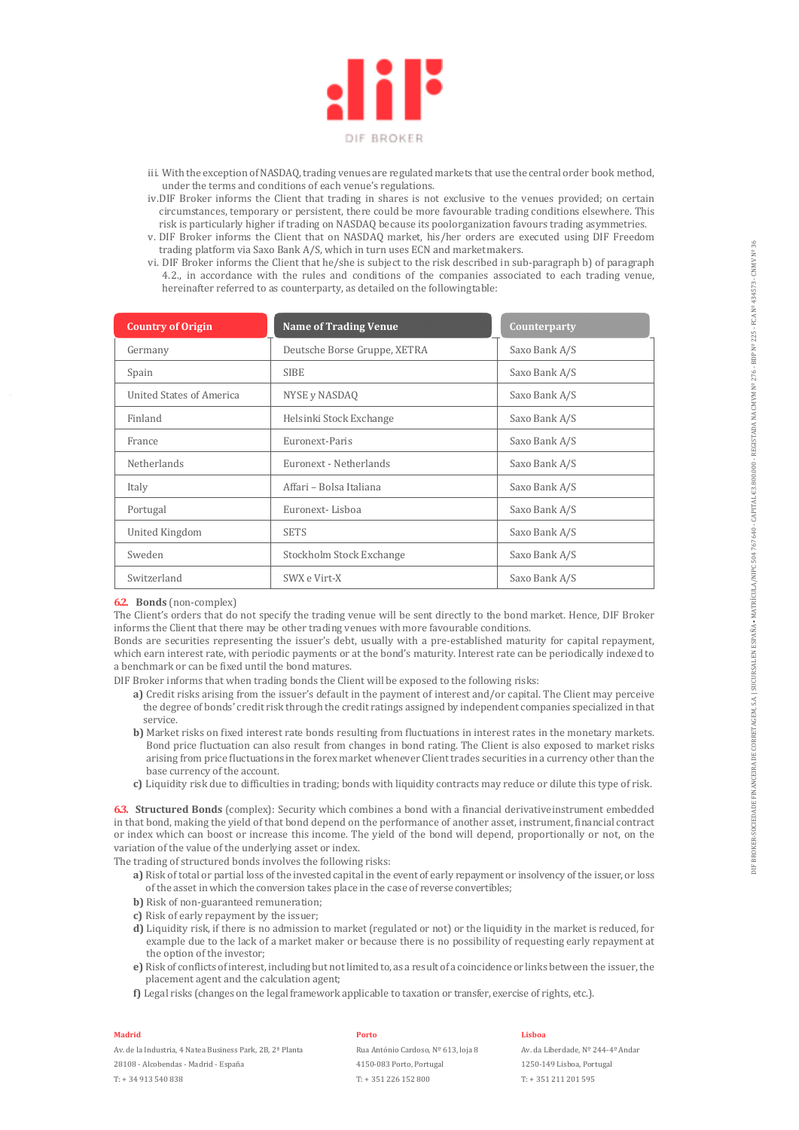

- iii. With the exception of NASDAQ, trading venues are regulated markets that use the central order book method, under the terms and conditions of each venue's regulations.
- iv.DIF Broker informs the Client that trading in shares is not exclusive to the venues provided; on certain circumstances, temporary or persistent, there could be more favourable trading conditions elsewhere. This risk is particularly higher if trading on NASDAQ because its pool organization favours trading asymmetries.
- v. DIF Broker informs the Client that on NASDAQ market, his/her orders are executed using DIF Freedom trading platform via Saxo Bank A/S, which in turn uses ECN and market makers.
- vi. DIF Broker informs the Client that he/she is subject to the risk described in sub-paragraph b) of paragraph 4.2., in accordance with the rules and conditions of the companies associated to each trading venue, hereinafter referred to as counterparty, as detailed on the following table:

| <b>Country of Origin</b>        | <b>Name of Trading Venue</b> | Counterparty  |
|---------------------------------|------------------------------|---------------|
| Germany                         | Deutsche Borse Gruppe, XETRA | Saxo Bank A/S |
| Spain                           | <b>SIBE</b>                  | Saxo Bank A/S |
| <b>United States of America</b> | NYSE y NASDAQ                | Saxo Bank A/S |
| Finland                         | Helsinki Stock Exchange      | Saxo Bank A/S |
| France                          | Euronext-Paris               | Saxo Bank A/S |
| <b>Netherlands</b>              | Euronext - Netherlands       | Saxo Bank A/S |
| Italy                           | Affari – Bolsa Italiana      | Saxo Bank A/S |
| Portugal                        | Euronext-Lisboa              | Saxo Bank A/S |
| United Kingdom                  | <b>SETS</b>                  | Saxo Bank A/S |
| Sweden                          | Stockholm Stock Exchange     | Saxo Bank A/S |
| Switzerland                     | SWX e Virt-X                 | Saxo Bank A/S |

#### **6.2. Bonds** (non-complex)

The Client's orders that do not specify the trading venue will be sent directly to the bond market. Hence, DIF Broker informs the Client that there may be other trading venues with more favourable conditions.

Bonds are securities representing the issuer's debt, usually with a pre-established maturity for capital repayment, which earn interest rate, with periodic payments or at the bond's maturity. Interest rate can be periodically indexed to a benchmark or can be fixed until the bond matures.

DIF Broker informs that when trading bonds the Client will be exposed to the following risks:

- **a)** Credit risks arising from the issuer's default in the payment of interest and/or capital. The Client may perceive the degree of bonds' credit risk through the credit ratings assigned by independent companies specialized in that service.
- **b)** Market risks on fixed interest rate bonds resulting from fluctuations in interest rates in the monetary markets. Bond price fluctuation can also result from changes in bond rating. The Client is also exposed to market risks arising from price fluctuations in the forex market whenever Client trades securities in a currency other than the base currency of the account.
- **c)** Liquidity risk due to difficulties in trading; bonds with liquidity contracts may reduce or dilute this type of risk.

**6.3. Structured Bonds** (complex): Security which combines a bond with a financial derivative instrument embedded in that bond, making the yield of that bond depend on the performance of another asset, instrument, financial contract or index which can boost or increase this income. The yield of the bond will depend, proportionally or not, on the variation of the value of the underlying asset or index.

The trading of structured bonds involves the following risks:

- **a)** Risk of total or partial loss of the invested capital in the event of early repayment or insolvency of the issuer, or loss of the asset in which the conversion takes place in the case of reverse convertibles;
- **b)** Risk of non-guaranteed remuneration;
- **c)** Risk of early repayment by the issuer;
- **d)** Liquidity risk, if there is no admission to market (regulated or not) or the liquidity in the market is reduced, for example due to the lack of a market maker or because there is no possibility of requesting early repayment at the option of the investor;
- **e)** Risk of conflicts of interest, including but not limited to, as a result of a coincidence or links between the issuer, the placement agent and the calculation agent;
- **f)** Legal risks (changes on the legal framework applicable to taxation or transfer, exercise of rights, etc.).

### **Madrid**

Av. de la Industria, 4 Natea Business Park, 2B, 2ª Planta 28108 - Alcobendas - Madrid - España T: + 34 913 540 838

#### **Porto**

Rua António Cardoso, Nº 613, loja 8 4150-083 Porto, Portugal T: + 351 226 152 800

#### **Lisboa**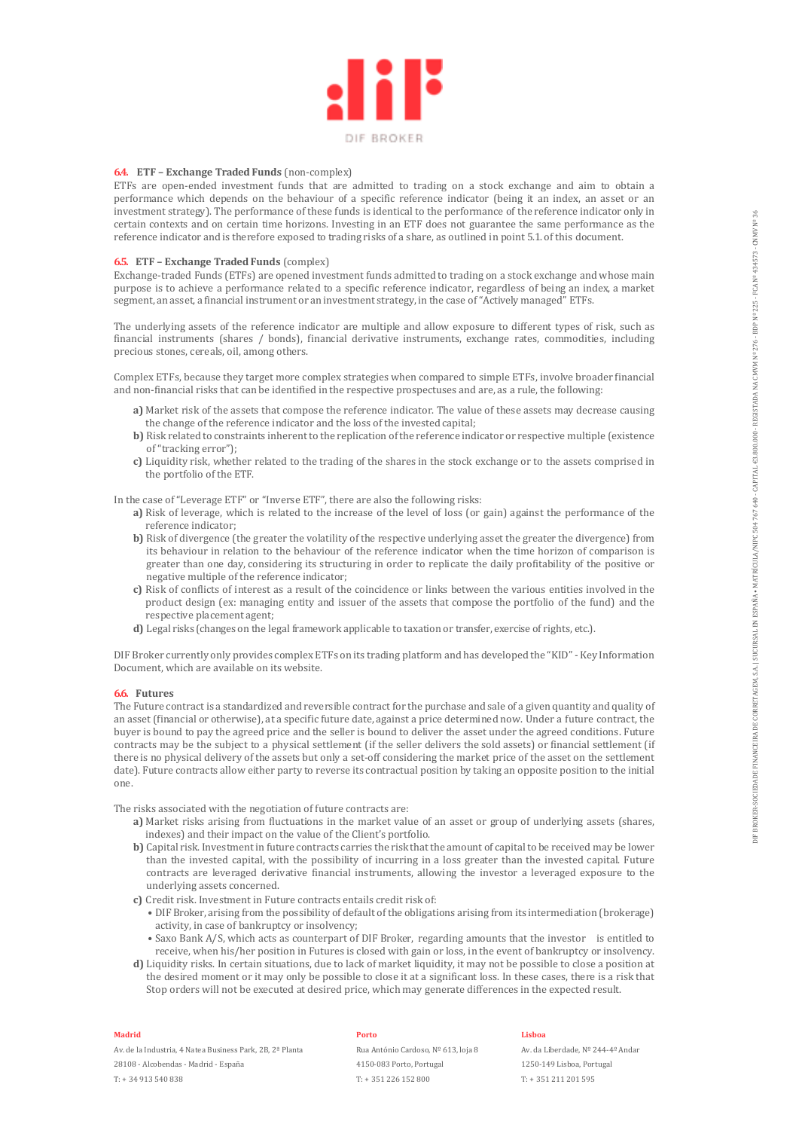

#### **6.4. ETF – Exchange Traded Funds** (non-complex)

ETFs are open-ended investment funds that are admitted to trading on a stock exchange and aim to obtain a performance which depends on the behaviour of a specific reference indicator (being it an index, an asset or an investment strategy). The performance of these funds is identical to the performance of the reference indicator only in certain contexts and on certain time horizons. Investing in an ETF does not guarantee the same performance as the reference indicator and is therefore exposed to trading risks of a share, as outlined in point 5.1. of this document.

#### **6.5. ETF – Exchange Traded Funds** (complex)

Exchange-traded Funds (ETFs) are opened investment funds admitted to trading on a stock exchange and whose main purpose is to achieve a performance related to a specific reference indicator, regardless of being an index, a market segment, an asset, a financial instrument or an investment strategy, in the case of "Actively managed" ETFs.

The underlying assets of the reference indicator are multiple and allow exposure to different types of risk, such as financial instruments (shares / bonds), financial derivative instruments, exchange rates, commodities, including precious stones, cereals, oil, among others.

Complex ETFs, because they target more complex strategies when compared to simple ETFs, involve broader financial and non-financial risks that can be identified in the respective prospectuses and are, as a rule, the following:

- **a)** Market risk of the assets that compose the reference indicator. The value of these assets may decrease causing the change of the reference indicator and the loss of the invested capital;
- **b)** Risk related to constraints inherent to the replication of the reference indicator or respective multiple (existence of "tracking error");
- **c)** Liquidity risk, whether related to the trading of the shares in the stock exchange or to the assets comprised in the portfolio of the ETF.

In the case of "Leverage ETF" or "Inverse ETF", there are also the following risks:

- **a)** Risk of leverage, which is related to the increase of the level of loss (or gain) against the performance of the reference indicator;
- **b)** Risk of divergence (the greater the volatility of the respective underlying asset the greater the divergence) from its behaviour in relation to the behaviour of the reference indicator when the time horizon of comparison is greater than one day, considering its structuring in order to replicate the daily profitability of the positive or negative multiple of the reference indicator;
- **c)** Risk of conflicts of interest as a result of the coincidence or links between the various entities involved in the product design (ex: managing entity and issuer of the assets that compose the portfolio of the fund) and the respective placement agent;
- **d)** Legal risks (changes on the legal framework applicable to taxation or transfer, exercise of rights, etc.).

DIF Broker currently only provides complex ETFs on its trading platform and has developed the "KID" - Key Information Document, which are available on its website.

#### **6.6. Futures**

The Future contract is a standardized and reversible contract for the purchase and sale of a given quantity and quality of an asset (financial or otherwise), at a specific future date, against a price determined now. Under a future contract, the buyer is bound to pay the agreed price and the seller is bound to deliver the asset under the agreed conditions. Future contracts may be the subject to a physical settlement (if the seller delivers the sold assets) or financial settlement (if there is no physical delivery of the assets but only a set-off considering the market price of the asset on the settlement date). Future contracts allow either party to reverse its contractual position by taking an opposite position to the initial one.

The risks associated with the negotiation of future contracts are:

- **a)** Market risks arising from fluctuations in the market value of an asset or group of underlying assets (shares, indexes) and their impact on the value of the Client's portfolio.
- **b)** Capital risk. Investment in future contracts carries the risk that the amount of capital to be received may be lower than the invested capital, with the possibility of incurring in a loss greater than the invested capital. Future contracts are leveraged derivative financial instruments, allowing the investor a leveraged exposure to the underlying assets concerned.
- **c)** Credit risk. Investment in Future contracts entails credit risk of:
	- DIF Broker, arising from the possibility of default of the obligations arising from its intermediation (brokerage) activity, in case of bankruptcy or insolvency;
	- Saxo Bank A/S, which acts as counterpart of DIF Broker, regarding amounts that the investor is entitled to receive, when his/her position in Futures is closed with gain or loss, in the event of bankruptcy or insolvency.
- **d)** Liquidity risks. In certain situations, due to lack of market liquidity, it may not be possible to close a position at the desired moment or it may only be possible to close it at a significant loss. In these cases, there is a risk that Stop orders will not be executed at desired price, which may generate differences in the expected result.

#### **Madrid**

Av. de la Industria, 4 Natea Business Park, 2B, 2ª Planta 28108 - Alcobendas - Madrid - España T: + 34 913 540 838

#### **Porto**

Rua António Cardoso, Nº 613, loja 8 4150-083 Porto, Portugal T: + 351 226 152 800

#### **Lisboa**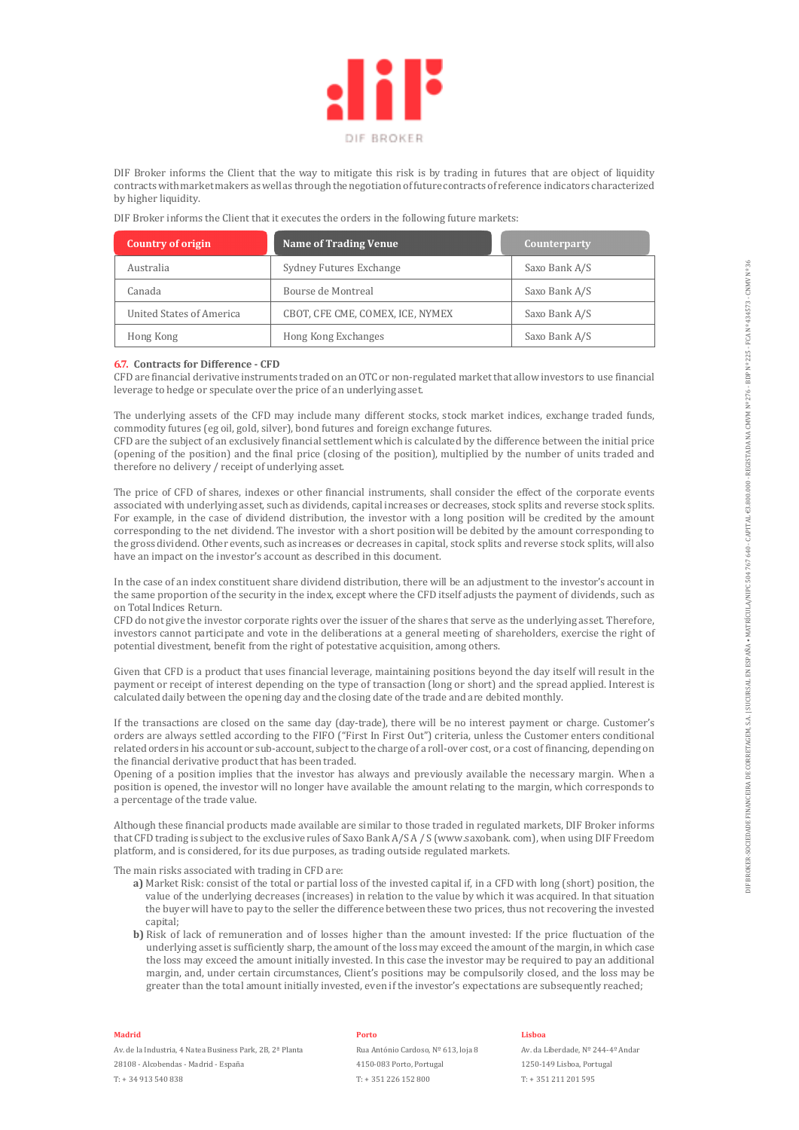

DIF Broker informs the Client that the way to mitigate this risk is by trading in futures that are object of liquidity contracts with market makers as well as through the negotiation of future contracts of reference indicators characterized by higher liquidity.

DIF Broker informs the Client that it executes the orders in the following future markets:

| <b>Country of origin</b> | <b>Name of Trading Venue</b>     | Counterparty  |
|--------------------------|----------------------------------|---------------|
| Australia                | Sydney Futures Exchange          | Saxo Bank A/S |
| Canada                   | Bourse de Montreal               | Saxo Bank A/S |
| United States of America | CBOT, CFE CME, COMEX, ICE, NYMEX | Saxo Bank A/S |
| Hong Kong                | Hong Kong Exchanges              | Saxo Bank A/S |

#### **6.7. Contracts for Difference - CFD**

CFD are financial derivative instruments traded on an OTC or non-regulated market that allow investors to use financial leverage to hedge or speculate over the price of an underlying asset.

The underlying assets of the CFD may include many different stocks, stock market indices, exchange traded funds, commodity futures (eg oil, gold, silver), bond futures and foreign exchange futures.

CFD are the subject of an exclusively financial settlement which is calculated by the difference between the initial price (opening of the position) and the final price (closing of the position), multiplied by the number of units traded and therefore no delivery / receipt of underlying asset.

The price of CFD of shares, indexes or other financial instruments, shall consider the effect of the corporate events associated with underlying asset, such as dividends, capital increases or decreases, stock splits and reverse stock splits. For example, in the case of dividend distribution, the investor with a long position will be credited by the amount corresponding to the net dividend. The investor with a short position will be debited by the amount corresponding to the gross dividend. Other events, such as increases or decreases in capital, stock splits and reverse stock splits, will also have an impact on the investor's account as described in this document.

In the case of an index constituent share dividend distribution, there will be an adjustment to the investor's account in the same proportion of the security in the index, except where the CFD itself adjusts the payment of dividends, such as on Total Indices Return.

CFD do not give the investor corporate rights over the issuer of the shares that serve as the underlying asset. Therefore, investors cannot participate and vote in the deliberations at a general meeting of shareholders, exercise the right of potential divestment, benefit from the right of potestative acquisition, among others.

Given that CFD is a product that uses financial leverage, maintaining positions beyond the day itself will result in the payment or receipt of interest depending on the type of transaction (long or short) and the spread applied. Interest is calculated daily between the opening day and the closing date of the trade and are debited monthly.

If the transactions are closed on the same day (day-trade), there will be no interest payment or charge. Customer's orders are always settled according to the FIFO ("First In First Out") criteria, unless the Customer enters conditional related orders in his account or sub-account, subject to the charge of a roll-over cost, or a cost of financing, depending on the financial derivative product that has been traded.

Opening of a position implies that the investor has always and previously available the necessary margin. When a position is opened, the investor will no longer have available the amount relating to the margin, which corresponds to a percentage of the trade value.

Although these financial products made available are similar to those traded in regulated markets, DIF Broker informs that CFD trading is subject to the exclusive rules of Saxo Bank A/S A / S (www.saxobank. com), when using DIF Freedom platform, and is considered, for its due purposes, as trading outside regulated markets.

The main risks associated with trading in CFD are:

- **a)** Market Risk: consist of the total or partial loss of the invested capital if, in a CFD with long (short) position, the value of the underlying decreases (increases) in relation to the value by which it was acquired. In that situation the buyer will have to pay to the seller the difference between these two prices, thus not recovering the invested capital:
- **b)** Risk of lack of remuneration and of losses higher than the amount invested: If the price fluctuation of the underlying asset is sufficiently sharp, the amount of the loss may exceed the amount of the margin, in which case the loss may exceed the amount initially invested. In this case the investor may be required to pay an additional margin, and, under certain circumstances, Client's positions may be compulsorily closed, and the loss may be greater than the total amount initially invested, even if the investor's expectations are subsequently reached;

#### **Madrid**

Av. de la Industria, 4 Natea Business Park, 2B, 2ª Planta 28108 - Alcobendas - Madrid - España T: + 34 913 540 838

#### **Porto**

Rua António Cardoso, Nº 613, loja 8 4150-083 Porto, Portugal T: + 351 226 152 800

#### **Lisboa**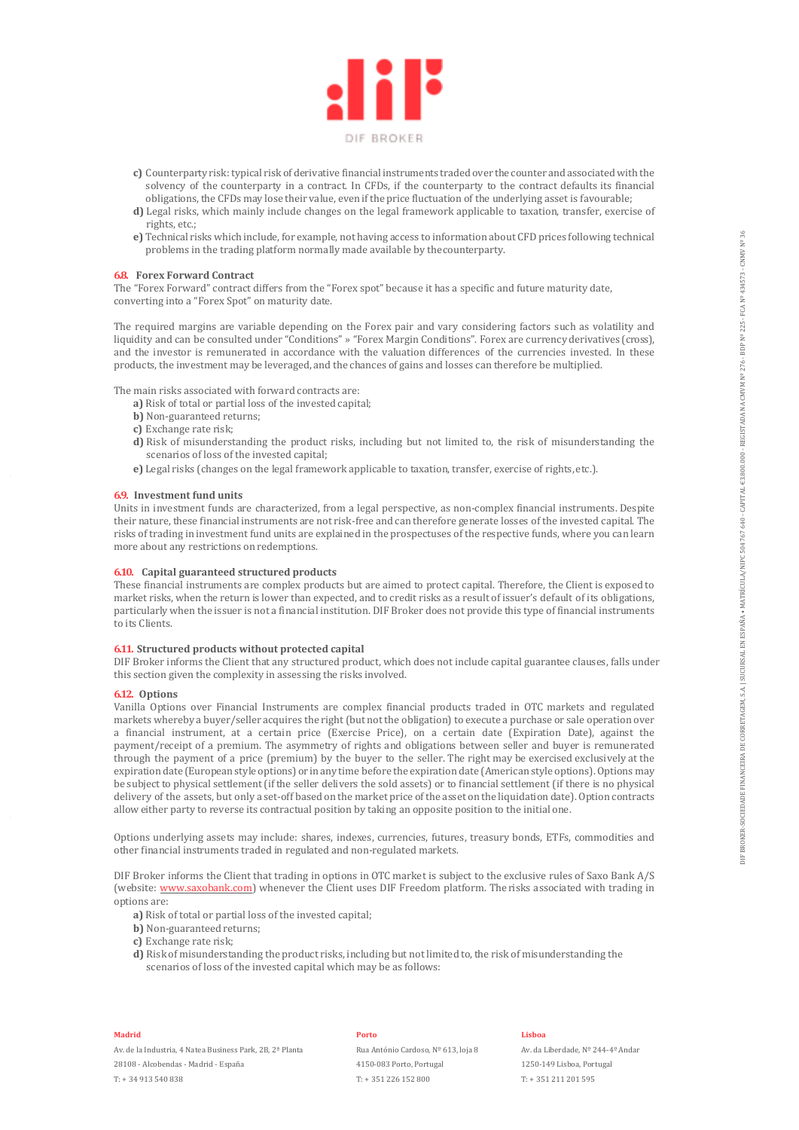

- **c)** Counterparty risk: typical risk of derivative financial instruments traded over the counter and associated with the solvency of the counterparty in a contract. In CFDs, if the counterparty to the contract defaults its financial obligations, the CFDs may lose their value, even if the price fluctuation of the underlying asset is favourable;
- **d)** Legal risks, which mainly include changes on the legal framework applicable to taxation, transfer, exercise of rights, etc.;
- **e)** Technical risks which include, for example, not having access to information about CFD prices following technical problems in the trading platform normally made available by the counterparty.

#### **6.8. Forex Forward Contract**

The "Forex Forward" contract differs from the "Forex spot" because it has a specific and future maturity date, converting into a "Forex Spot" on maturity date.

The required margins are variable depending on the Forex pair and vary considering factors such as volatility and liquidity and can be consulted under "Conditions" » "Forex Margin Conditions". Forex are currency derivatives (cross), and the investor is remunerated in accordance with the valuation differences of the currencies invested. In these products, the investment may be leveraged, and the chances of gains and losses can therefore be multiplied.

The main risks associated with forward contracts are:

- **a)** Risk of total or partial loss of the invested capital;
- **b)** Non-guaranteed returns;
- **c)** Exchange rate risk;
- **d)** Risk of misunderstanding the product risks, including but not limited to, the risk of misunderstanding the scenarios of loss of the invested capital;
- **e)** Legal risks (changes on the legal framework applicable to taxation, transfer, exercise of rights, etc.).

#### **6.9. Investment fund units**

Units in investment funds are characterized, from a legal perspective, as non-complex financial instruments. Despite their nature, these financial instruments are not risk-free and can therefore generate losses of the invested capital. The risks of trading in investment fund units are explained in the prospectuses of the respective funds, where you can learn more about any restrictions on redemptions.

#### **6.10. Capital guaranteed structured products**

These financial instruments are complex products but are aimed to protect capital. Therefore, the Client is exposed to market risks, when the return is lower than expected, and to credit risks as a result of issuer's default of its obligations, particularly when the issuer is not a financial institution. DIF Broker does not provide this type of financial instruments to its Clients.

#### **6.11. Structured products without protected capital**

DIF Broker informs the Client that any structured product, which does not include capital guarantee clauses, falls under this section given the complexity in assessing the risks involved.

#### **6.12. Options**

Vanilla Options over Financial Instruments are complex financial products traded in OTC markets and regulated markets whereby a buyer/seller acquires the right (but not the obligation) to execute a purchase or sale operation over a financial instrument, at a certain price (Exercise Price), on a certain date (Expiration Date), against the payment/receipt of a premium. The asymmetry of rights and obligations between seller and buyer is remunerated through the payment of a price (premium) by the buyer to the seller. The right may be exercised exclusively at the expiration date (European style options) or in any time before the expiration date (American style options). Options may be subject to physical settlement (if the seller delivers the sold assets) or to financial settlement (if there is no physical delivery of the assets, but only a set-off based on the market price of the asset on the liquidation date). Option contracts allow either party to reverse its contractual position by taking an opposite position to the initial one.

Options underlying assets may include: shares, indexes, currencies, futures, treasury bonds, ETFs, commodities and other financial instruments traded in regulated and non-regulated markets.

DIF Broker informs the Client that trading in options in OTC market is subject to the exclusive rules of Saxo Bank A/S (website: www.saxobank.com) whenever the Client uses DIF Freedom platform. The risks associated with trading in options are:

- **a)** Risk of total or partial loss of the invested capital;
- **b)** Non-guaranteed returns;
- **c)** Exchange rate risk;
- **d)** Risk of misunderstanding the product risks, including but not limited to, the risk of misunderstanding the scenarios of loss of the invested capital which may be as follows:

#### **Madrid**

Av. de la Industria, 4 Natea Business Park, 2B, 2ª Planta 28108 - Alcobendas - Madrid - España T: + 34 913 540 838

#### **Porto**

Rua António Cardoso, Nº 613, loja 8 4150-083 Porto, Portugal T: + 351 226 152 800

#### **Lisboa**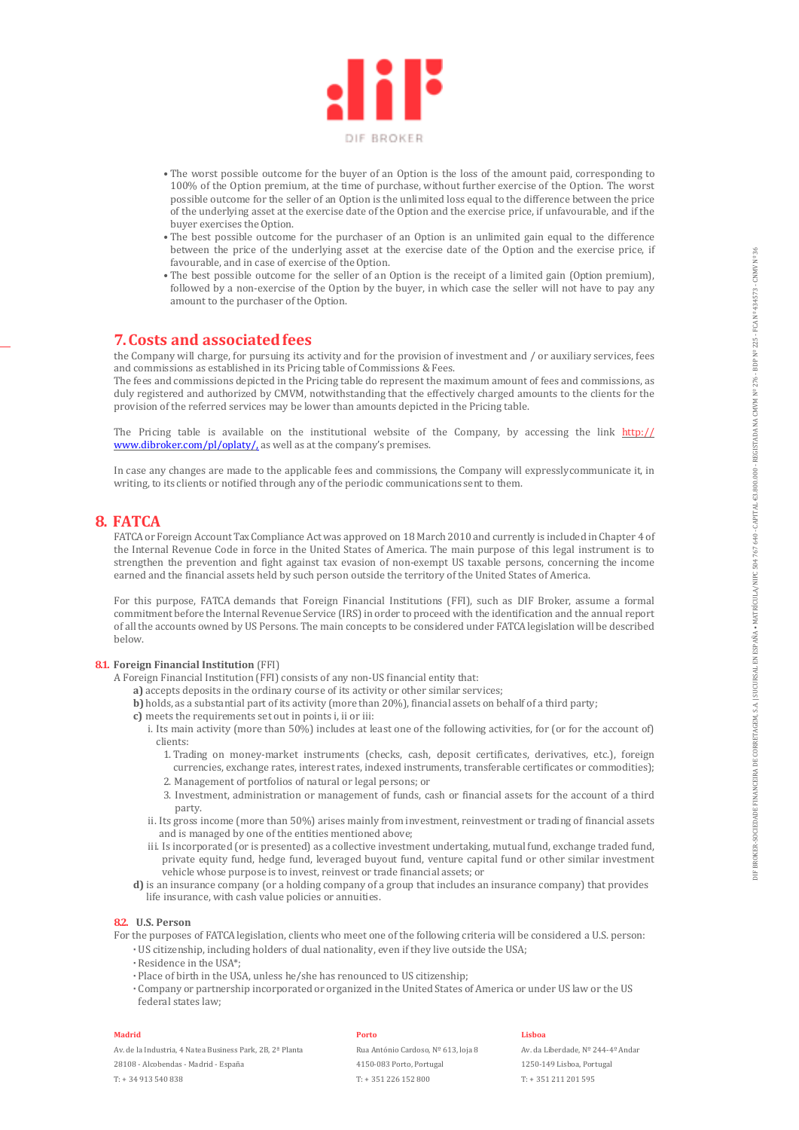

- The worst possible outcome for the buyer of an Option is the loss of the amount paid, corresponding to 100% of the Option premium, at the time of purchase, without further exercise of the Option. The worst possible outcome for the seller of an Option is the unlimited loss equal to the difference between the price of the underlying asset at the exercise date of the Option and the exercise price, if unfavourable, and if the buyer exercises the Option.
- The best possible outcome for the purchaser of an Option is an unlimited gain equal to the difference between the price of the underlying asset at the exercise date of the Option and the exercise price, if favourable, and in case of exercise of the Option.
- The best possible outcome for the seller of an Option is the receipt of a limited gain (Option premium), followed by a non-exercise of the Option by the buyer, in which case the seller will not have to pay any amount to the purchaser of the Option.

# **7. Costs and associated fees**

the Company will charge, for pursuing its activity and for the provision of investment and / or auxiliary services, fees and commissions as established in its Pricing table of Commissions & Fees.

The fees and commissions depicted in the Pricing table do represent the maximum amount of fees and commissions, as duly registered and authorized by CMVM, notwithstanding that the effectively charged amounts to the clients for the provision of the referred services may be lower than amounts depicted in the Pricing table.

The Pricing table is available on the institutional website of the Company, by accessing the link http:// www.dibroker.com/pl/oplaty/, as well as at the company's premises.

In case any changes are made to the applicable fees and commissions, the Company will expressly communicate it, in writing, to its clients or notified through any of the periodic communications sent to them.

# **8. FATCA**

FATCA or Foreign Account Tax Compliance Act was approved on 18 March 2010 and currently is included in Chapter 4 of the Internal Revenue Code in force in the United States of America. The main purpose of this legal instrument is to strengthen the prevention and fight against tax evasion of non-exempt US taxable persons, concerning the income earned and the financial assets held by such person outside the territory of the United States of America.

For this purpose, FATCA demands that Foreign Financial Institutions (FFI), such as DIF Broker, assume a formal commitment before the Internal Revenue Service (IRS) in order to proceed with the identification and the annual report of all the accounts owned by US Persons. The main concepts to be considered under FATCA legislation will be described below.

#### **8.1. Foreign Financial Institution** (FFI)

- A Foreign Financial Institution (FFI) consists of any non-US financial entity that:
	- **a)** accepts deposits in the ordinary course of its activity or other similar services;
	- **b)** holds, as a substantial part of its activity (more than 20%), financial assets on behalf of a third party;
	- **c)** meets the requirements set out in points i, ii or iii:
		- i. Its main activity (more than 50%) includes at least one of the following activities, for (or for the account of) clients:
			- 1. Trading on money-market instruments (checks, cash, deposit certificates, derivatives, etc.), foreign currencies, exchange rates, interest rates, indexed instruments, transferable certificates or commodities);
			- 2. Management of portfolios of natural or legal persons; or
			- 3. Investment, administration or management of funds, cash or financial assets for the account of a third party.
		- ii. Its gross income (more than 50%) arises mainly from investment, reinvestment or trading of financial assets and is managed by one of the entities mentioned above;
		- iii. Is incorporated (or is presented) as a collective investment undertaking, mutual fund, exchange traded fund, private equity fund, hedge fund, leveraged buyout fund, venture capital fund or other similar investment vehicle whose purpose is to invest, reinvest or trade financial assets; or
	- **d)** is an insurance company (or a holding company of a group that includes an insurance company) that provides life insurance, with cash value policies or annuities.

#### **8.2. U.S. Person**

For the purposes of FATCA legislation, clients who meet one of the following criteria will be considered a U.S. person:

- **·** US citizenship, including holders of dual nationality, even if they live outside the USA;
- **·** Residence in the USA\*;
- **·** Place of birth in the USA, unless he/she has renounced to US citizenship;
- **·** Company or partnership incorporated or organized in the United States of America or under US law or the US federal states law;

#### **Madrid**

Av. de la Industria, 4 Natea Business Park, 2B, 2ª Planta

28108 - Alcobendas - Madrid - España

T: + 34 913 540 838

#### **Porto**

Rua António Cardoso, Nº 613, loja 8 4150-083 Porto, Portugal T: + 351 226 152 800

#### **Lisboa**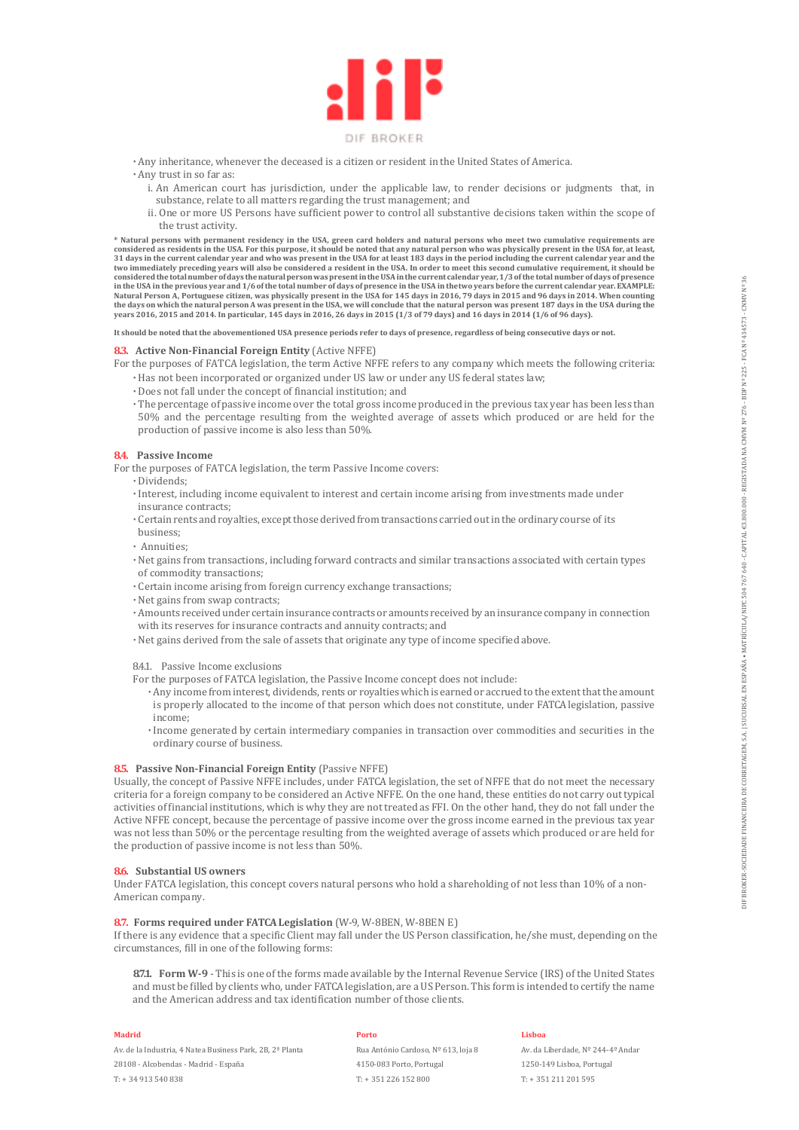

- **·** Any inheritance, whenever the deceased is a citizen or resident in the United States of America. **·** Any trust in so far as:
	- i. An American court has jurisdiction, under the applicable law, to render decisions or judgments that, in substance, relate to all matters regarding the trust management; and
	- ii. One or more US Persons have sufficient power to control all substantive decisions taken within the scope of the trust activity.

\* Natural persons with permanent residency in the USA, green card holders and natural persons who meet two cumulative requirements are<br>considered as residents in the USA. For this purpose, it should be noted that any natur 31 days in the current calendar year and who was present in the USA for at least 183 days in the period including the current calendar year and the<br>two immediately preceding years will also be considered a resident in the considered the total number of days the natural person was present in the USA in the current calendar year, 1/3 of the total number of days of presence<br>in the USA in the previous year and 1/6 of the total number of days of Natural Person A, Portuguese citizen, was physically present in the USA for 145 days in 2016, 79 days in 2015 and 96 days in 2014. When counting<br>the days on which the natural person A was present in the USA, we will conclu

**It should be noted that the abovementioned USA presence periods refer to days of presence, regardless of being consecutive days or not.**

### **8.3. Active Non-Financial Foreign Entity** (Active NFFE)

For the purposes of FATCA legislation, the term Active NFFE refers to any company which meets the following criteria: **·** Has not been incorporated or organized under US law or under any US federal states law;

- **·** Does not fall under the concept of financial institution; and
- **·** The percentage of passive income over the total gross income produced in the previous tax year has been less than 50% and the percentage resulting from the weighted average of assets which produced or are held for the production of passive income is also less than 50%.

#### **8.4. Passive Income**

For the purposes of FATCA legislation, the term Passive Income covers:

**·** Dividends;

- **·** Interest, including income equivalent to interest and certain income arising from investments made under insurance contracts;
- **·** Certain rents and royalties, except those derived from transactions carried out in the ordinary course of its business;
- **·** Annuities;
- **·** Net gains from transactions, including forward contracts and similar transactions associated with certain types of commodity transactions;
- **·** Certain income arising from foreign currency exchange transactions;
- **·** Net gains from swap contracts;
- **·** Amounts received under certain insurance contracts or amounts received by an insurance company in connection with its reserves for insurance contracts and annuity contracts; and
- **·** Net gains derived from the sale of assets that originate any type of income specified above.

#### 8.4.1. Passive Income exclusions

- For the purposes of FATCA legislation, the Passive Income concept does not include:
	- **·** Any income from interest, dividends, rents or royalties which is earned or accrued to the extent that the amount is properly allocated to the income of that person which does not constitute, under FATCA legislation, passive income;
	- **·** Income generated by certain intermediary companies in transaction over commodities and securities in the ordinary course of business.

#### **8.5.** Passive Non-Financial Foreign Entity (Passive NFFE)

Usually, the concept of Passive NFFE includes, under FATCA legislation, the set of NFFE that do not meet the necessary criteria for a foreign company to be considered an Active NFFE. On the one hand, these entities do not carry out typical activities of financial institutions, which is why they are not treated as FFI. On the other hand, they do not fall under the Active NFFE concept, because the percentage of passive income over the gross income earned in the previous tax year was not less than 50% or the percentage resulting from the weighted average of assets which produced or are held for the production of passive income is not less than 50%.

#### **8.6. Substantial US owners**

Under FATCA legislation, this concept covers natural persons who hold a shareholding of not less than 10% of a non-American company.

#### **8.7. Forms required under FATCA Legislation** (W-9, W-8BEN, W-8BEN E)

If there is any evidence that a specific Client may fall under the US Person classification, he/she must, depending on the circumstances, fill in one of the following forms:

**8.7.1. Form W-9** - This is one of the forms made available by the Internal Revenue Service (IRS) of the United States and must be filled by clients who, under FATCA legislation, are a US Person. This form is intended to certify the name and the American address and tax identification number of those clients.

#### **Madrid**

Av. de la Industria, 4 Natea Business Park, 2B, 2ª Planta 28108 - Alcobendas - Madrid - España T: + 34 913 540 838

#### **Porto**

Rua António Cardoso, Nº 613, loja 8 4150-083 Porto, Portugal T: + 351 226 152 800

#### **Lisboa**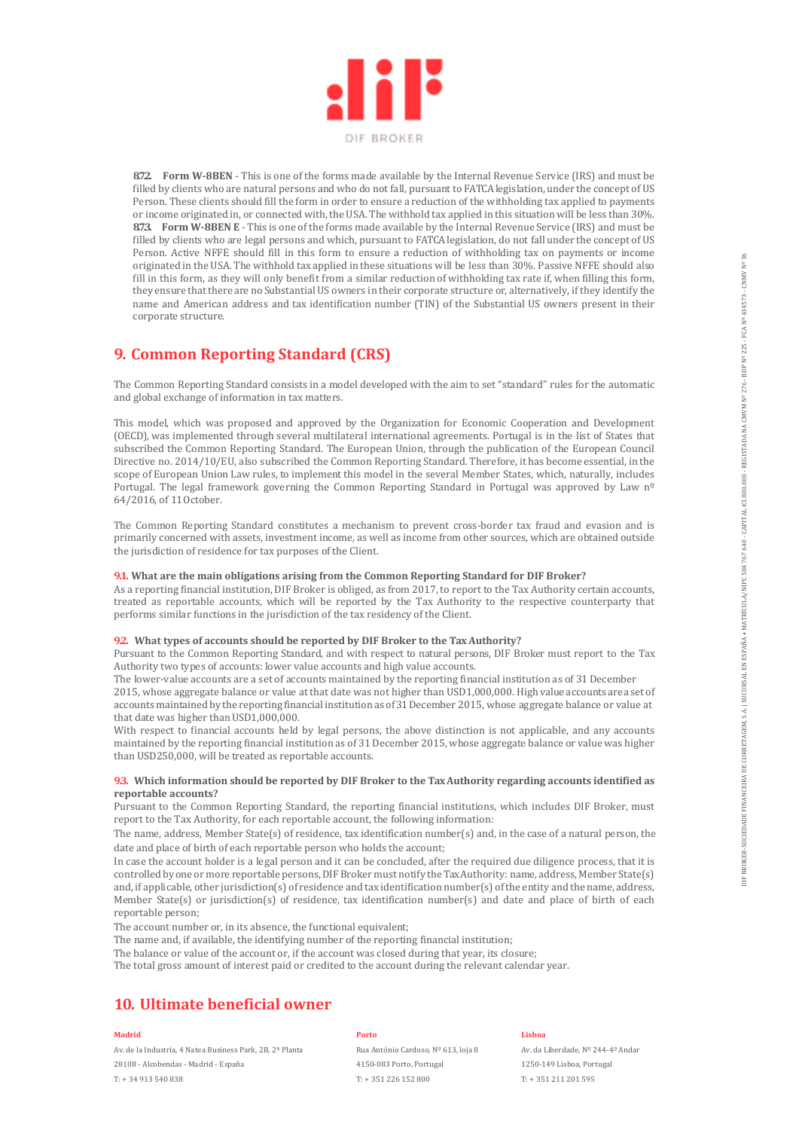

**8.7.2. Form W-8BEN** - This is one of the forms made available by the Internal Revenue Service (IRS) and must be filled by clients who are natural persons and who do not fall, pursuant to FATCA legislation, under the concept of US Person. These clients should fill the form in order to ensure a reduction of the withholding tax applied to payments or income originated in, or connected with, the USA. The withhold tax applied in this situation will be less than 30%. **8.7.3. Form W-8BEN E** - This is one of the forms made available by the Internal Revenue Service (IRS) and must be filled by clients who are legal persons and which, pursuant to FATCA legislation, do not fall under the concept of US Person. Active NFFE should fill in this form to ensure a reduction of withholding tax on payments or income originated in the USA. The withhold tax applied in these situations will be less than 30%. Passive NFFE should also fill in this form, as they will only benefit from a similar reduction of withholding tax rate if, when filling this form, they ensure that there are no Substantial US owners in their corporate structure or, alternatively, if they identify the name and American address and tax identification number (TIN) of the Substantial US owners present in their corporate structure.

# **9. Common Reporting Standard (CRS)**

The Common Reporting Standard consists in a model developed with the aim to set "standard" rules for the automatic and global exchange of information in tax matters.

This model, which was proposed and approved by the Organization for Economic Cooperation and Development (OECD), was implemented through several multilateral international agreements. Portugal is in the list of States that subscribed the Common Reporting Standard. The European Union, through the publication of the European Council Directive no. 2014/10/EU, also subscribed the Common Reporting Standard. Therefore, it has become essential, in the scope of European Union Law rules, to implement this model in the several Member States, which, naturally, includes Portugal. The legal framework governing the Common Reporting Standard in Portugal was approved by Law nº 64/2016, of 11 October.

The Common Reporting Standard constitutes a mechanism to prevent cross-border tax fraud and evasion and is primarily concerned with assets, investment income, as well as income from other sources, which are obtained outside the jurisdiction of residence for tax purposes of the Client.

#### **9.1. What are the main obligations arising from the Common Reporting Standard for DIF Broker?**

As a reporting financial institution, DIF Broker is obliged, as from 2017, to report to the Tax Authority certain accounts, treated as reportable accounts, which will be reported by the Tax Authority to the respective counterparty that performs similar functions in the jurisdiction of the tax residency of the Client.

### **9.2. What types of accounts should be reported by DIF Broker to the Tax Authority?**

Pursuant to the Common Reporting Standard, and with respect to natural persons, DIF Broker must report to the Tax Authority two types of accounts: lower value accounts and high value accounts.

The lower-value accounts are a set of accounts maintained by the reporting financial institution as of 31 December

2015, whose aggregate balance or value at that date was not higher than USD1,000,000. High value accounts are a set of accounts maintained by the reporting financial institution as of 31 December 2015, whose aggregate balance or value at that date was higher than USD1,000,000.

With respect to financial accounts held by legal persons, the above distinction is not applicable, and any accounts maintained by the reporting financial institution as of 31 December 2015, whose aggregate balance or value was higher than USD250,000, will be treated as reportable accounts.

### **9.3. Which information should be reported by DIF Broker to the Tax Authority regarding accounts identified as reportable accounts?**

Pursuant to the Common Reporting Standard, the reporting financial institutions, which includes DIF Broker, must report to the Tax Authority, for each reportable account, the following information:

The name, address, Member State(s) of residence, tax identification number(s) and, in the case of a natural person, the date and place of birth of each reportable person who holds the account;

In case the account holder is a legal person and it can be concluded, after the required due diligence process, that it is controlled by one or more reportable persons, DIF Broker must notify the Tax Authority: name, address, Member State(s) and, if applicable, other jurisdiction(s) of residence and tax identification number(s) of the entity and the name, address, Member State(s) or jurisdiction(s) of residence, tax identification number(s) and date and place of birth of each reportable person;

The account number or, in its absence, the functional equivalent;

The name and, if available, the identifying number of the reporting financial institution;

The balance or value of the account or, if the account was closed during that year, its closure;

The total gross amount of interest paid or credited to the account during the relevant calendar year.

# **10. Ultimate beneficial owner**

#### **Madrid**

Av. de la Industria, 4 Natea Business Park, 2B, 2ª Planta 28108 - Alcobendas - Madrid - España T: + 34 913 540 838

#### **Porto**

Rua António Cardoso, Nº 613, loja 8 4150-083 Porto, Portugal T: + 351 226 152 800

#### **Lisboa**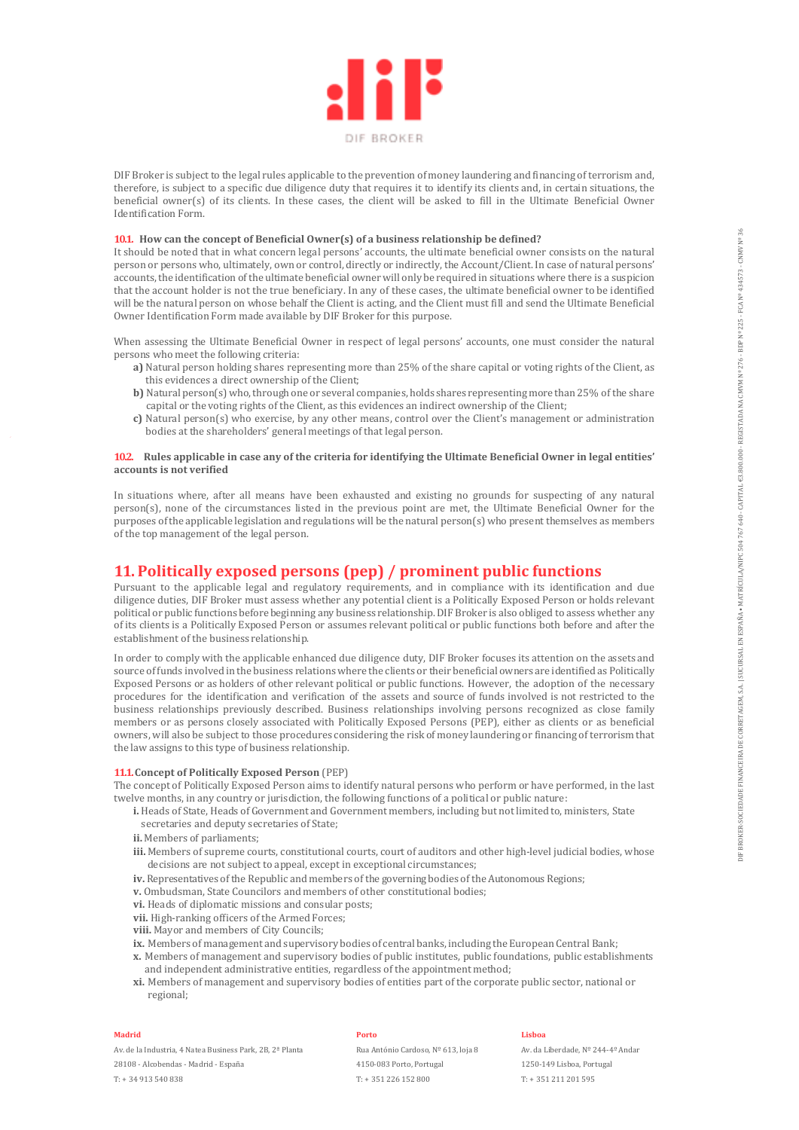

DIF Broker is subject to the legal rules applicable to the prevention of money laundering and financing of terrorism and, therefore, is subject to a specific due diligence duty that requires it to identify its clients and, in certain situations, the beneficial owner(s) of its clients. In these cases, the client will be asked to fill in the Ultimate Beneficial Owner Identification Form.

### **10.1. How can the concept of Beneficial Owner(s) of a business relationship be defined?**

It should be noted that in what concern legal persons' accounts, the ultimate beneficial owner consists on the natural person or persons who, ultimately, own or control, directly or indirectly, the Account/Client. In case of natural persons' accounts, the identification of the ultimate beneficial owner will only be required in situations where there is a suspicion that the account holder is not the true beneficiary. In any of these cases, the ultimate beneficial owner to be identified will be the natural person on whose behalf the Client is acting, and the Client must fill and send the Ultimate Beneficial Owner Identification Form made available by DIF Broker for this purpose.

When assessing the Ultimate Beneficial Owner in respect of legal persons' accounts, one must consider the natural persons who meet the following criteria:

- **a)** Natural person holding shares representing more than 25% of the share capital or voting rights of the Client, as this evidences a direct ownership of the Client;
- **b)** Natural person(s) who, through one or several companies, holds shares representing more than 25% of the share capital or the voting rights of the Client, as this evidences an indirect ownership of the Client;
- **c)** Natural person(s) who exercise, by any other means, control over the Client's management or administration bodies at the shareholders' general meetings of that legal person.

#### **10.2. Rules applicable in case any of the criteria for identifying the Ultimate Beneficial Owner in legal entities' accounts is not verified**

In situations where, after all means have been exhausted and existing no grounds for suspecting of any natural person(s), none of the circumstances listed in the previous point are met, the Ultimate Beneficial Owner for the purposes of the applicable legislation and regulations will be the natural person(s) who present themselves as members of the top management of the legal person.

# **11. Politically exposed persons (pep) / prominent public functions**

Pursuant to the applicable legal and regulatory requirements, and in compliance with its identification and due diligence duties, DIF Broker must assess whether any potential client is a Politically Exposed Person or holds relevant political or public functions before beginning any business relationship. DIF Broker is also obliged to assess whether any of its clients is a Politically Exposed Person or assumes relevant political or public functions both before and after the establishment of the business relationship.

In order to comply with the applicable enhanced due diligence duty, DIF Broker focuses its attention on the assets and source of funds involved in the business relations where the clients or their beneficial owners are identified as Politically Exposed Persons or as holders of other relevant political or public functions. However, the adoption of the necessary procedures for the identification and verification of the assets and source of funds involved is not restricted to the business relationships previously described. Business relationships involving persons recognized as close family members or as persons closely associated with Politically Exposed Persons (PEP), either as clients or as beneficial owners, will also be subject to those procedures considering the risk of money laundering or financing of terrorism that the law assigns to this type of business relationship.

### **11.1.Concept of Politically Exposed Person** (PEP)

The concept of Politically Exposed Person aims to identify natural persons who perform or have performed, in the last twelve months, in any country or jurisdiction, the following functions of a political or public nature:

- **i.** Heads of State, Heads of Government and Government members, including but not limited to, ministers, State secretaries and deputy secretaries of State;
- **ii.** Members of parliaments;
- **iii.** Members of supreme courts, constitutional courts, court of auditors and other high-level judicial bodies, whose decisions are not subject to appeal, except in exceptional circumstances;
- iv. Representatives of the Republic and members of the governing bodies of the Autonomous Regions;
- **v.** Ombudsman, State Councilors and members of other constitutional bodies;
- **vi.** Heads of diplomatic missions and consular posts;
- **vii.** High-ranking officers of the Armed Forces;
- **viii.** Mayor and members of City Councils;
- **ix.** Members of management and supervisory bodies of central banks, including the European Central Bank; **x.** Members of management and supervisory bodies of public institutes, public foundations, public establishments
- and independent administrative entities, regardless of the appointment method;
- **xi.** Members of management and supervisory bodies of entities part of the corporate public sector, national or regional;

#### **Madrid**

Av. de la Industria, 4 Natea Business Park, 2B, 2ª Planta 28108 - Alcobendas - Madrid - España T: + 34 913 540 838

#### **Porto**

Rua António Cardoso, Nº 613, loja 8 4150-083 Porto, Portugal T: + 351 226 152 800

#### **Lisboa**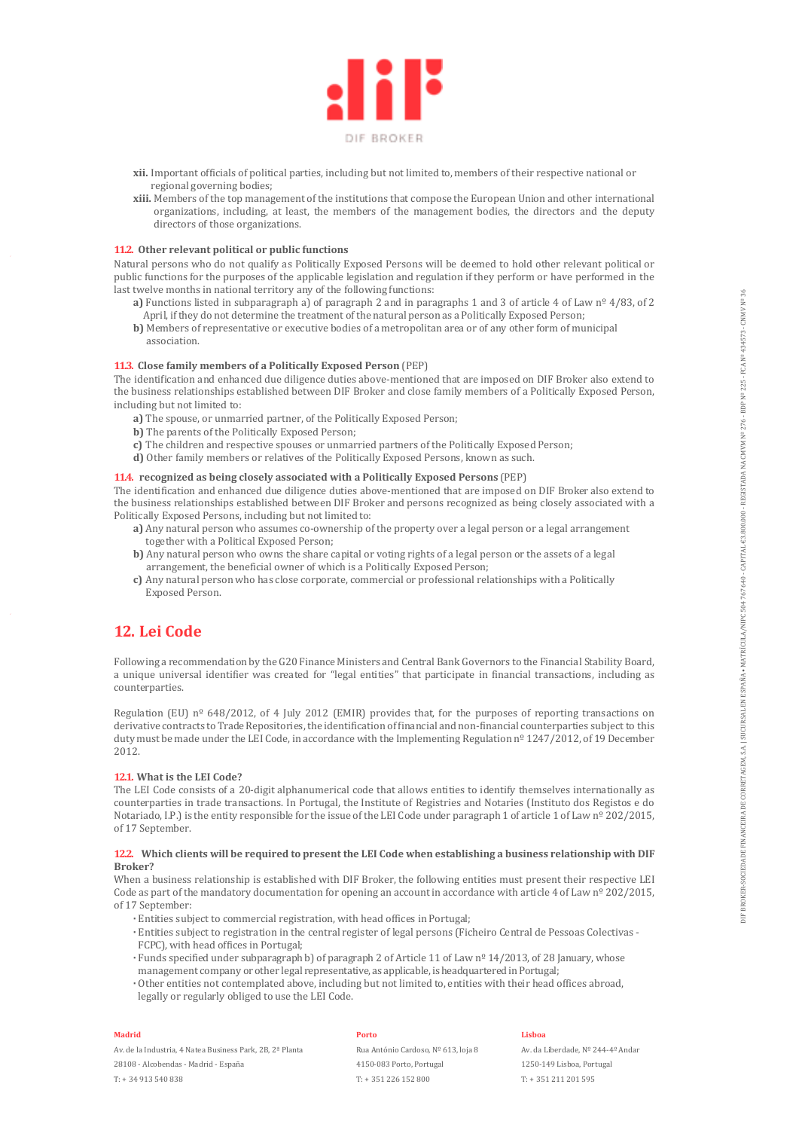

- **xii.** Important officials of political parties, including but not limited to, members of their respective national or regional governing bodies;
- **xiii.** Members of the top management of the institutions that compose the European Union and other international organizations, including, at least, the members of the management bodies, the directors and the deputy directors of those organizations.

### **11.2. Other relevant political or public functions**

Natural persons who do not qualify as Politically Exposed Persons will be deemed to hold other relevant political or public functions for the purposes of the applicable legislation and regulation if they perform or have performed in the last twelve months in national territory any of the following functions:

- **a)** Functions listed in subparagraph a) of paragraph 2 and in paragraphs 1 and 3 of article 4 of Law nº 4/83, of 2 April, if they do not determine the treatment of the natural person as a Politically Exposed Person;
- **b)** Members of representative or executive bodies of a metropolitan area or of any other form of municipal association.

#### **11.3. Close family members of a Politically Exposed Person** (PEP)

The identification and enhanced due diligence duties above-mentioned that are imposed on DIF Broker also extend to the business relationships established between DIF Broker and close family members of a Politically Exposed Person, including but not limited to:

- **a)** The spouse, or unmarried partner, of the Politically Exposed Person;
- **b)** The parents of the Politically Exposed Person;
- **c)** The children and respective spouses or unmarried partners of the Politically Exposed Person;
- **d)** Other family members or relatives of the Politically Exposed Persons, known as such.

### **11.4. recognized as being closely associated with a Politically Exposed Persons** (PEP)

The identification and enhanced due diligence duties above-mentioned that are imposed on DIF Broker also extend to the business relationships established between DIF Broker and persons recognized as being closely associated with a Politically Exposed Persons, including but not limited to:

- **a)** Any natural person who assumes co-ownership of the property over a legal person or a legal arrangement together with a Political Exposed Person;
- **b)** Any natural person who owns the share capital or voting rights of a legal person or the assets of a legal arrangement, the beneficial owner of which is a Politically Exposed Person;
- **c)** Any natural person who has close corporate, commercial or professional relationships with a Politically Exposed Person.

# **12. Lei Code**

Following a recommendation by the G20 Finance Ministers and Central Bank Governors to the Financial Stability Board, a unique universal identifier was created for "legal entities" that participate in financial transactions, including as counterparties.

Regulation (EU) nº 648/2012, of 4 July 2012 (EMIR) provides that, for the purposes of reporting transactions on derivative contracts to Trade Repositories, the identification of financial and non-financial counterparties subject to this duty must be made under the LEI Code, in accordance with the Implementing Regulation nº 1247/2012, of 19 December 2012.

#### **12.1. What is the LEI Code?**

The LEI Code consists of a 20-digit alphanumerical code that allows entities to identify themselves internationally as counterparties in trade transactions. In Portugal, the Institute of Registries and Notaries (Instituto dos Registos e do Notariado, I.P.) is the entity responsible for the issue of the LEI Code under paragraph 1 of article 1 of Law nº 202/2015, of 17 September.

#### **12.2. Which clients will be required to present the LEI Code when establishing a business relationship with DIF Broker?**

When a business relationship is established with DIF Broker, the following entities must present their respective LEI Code as part of the mandatory documentation for opening an account in accordance with article 4 of Law  $n^{\circ}$  202/2015, of 17 September:

- **·** Entities subject to commercial registration, with head offices in Portugal;
- **·** Entities subject to registration in the central register of legal persons (Ficheiro Central de Pessoas Colectivas FCPC), with head offices in Portugal;
- **·** Funds specified under subparagraph b) of paragraph 2 of Article 11 of Law nº 14/2013, of 28 January, whose management company or other legal representative, as applicable, is headquartered in Portugal;
- **·** Other entities not contemplated above, including but not limited to, entities with their head offices abroad, legally or regularly obliged to use the LEI Code.

#### **Madrid**

Av. de la Industria, 4 Natea Business Park, 2B, 2ª Planta

28108 - Alcobendas - Madrid - España T: + 34 913 540 838

### **Porto**

Rua António Cardoso, Nº 613, loja 8 4150-083 Porto, Portugal T: + 351 226 152 800

#### **Lisboa**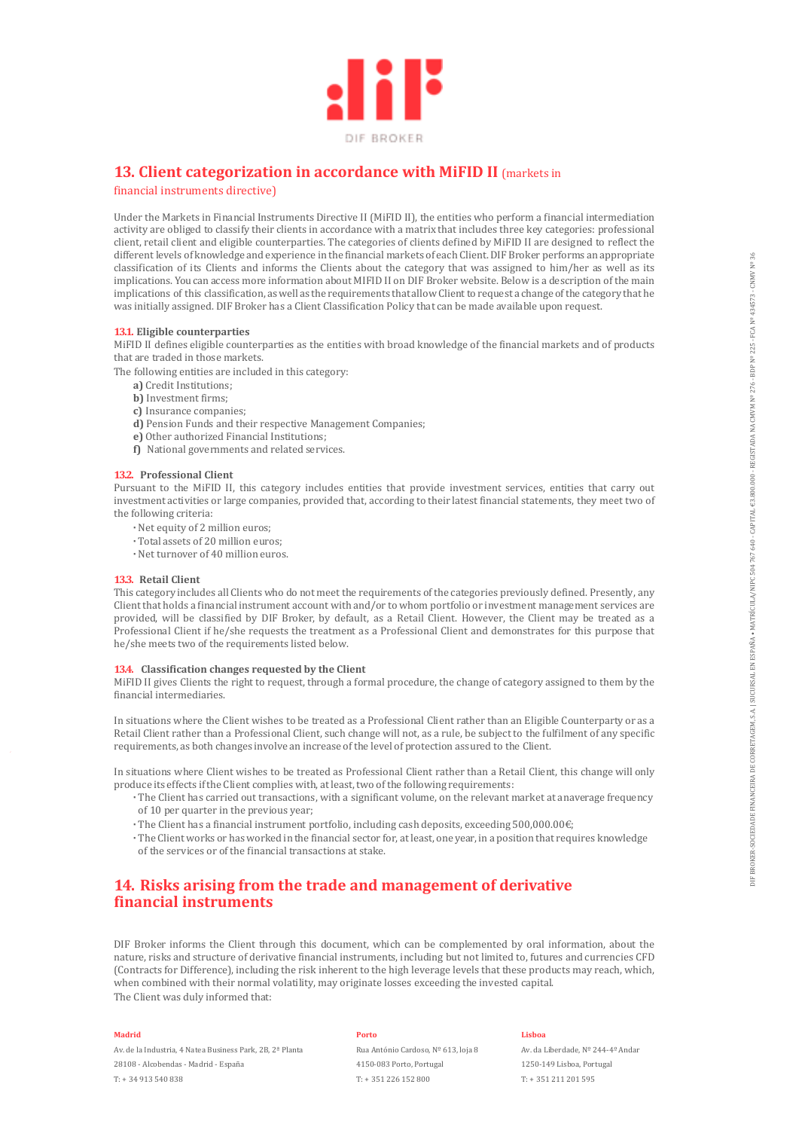

# **13. Client categorization in accordance with MiFID II** (markets in

financial instruments directive)

Under the Markets in Financial Instruments Directive II (MiFID II), the entities who perform a financial intermediation activity are obliged to classify their clients in accordance with a matrix that includes three key categories: professional client, retail client and eligible counterparties. The categories of clients defined by MiFID II are designed to reflect the different levels of knowledge and experience in the financial markets of each Client. DIF Broker performs an appropriate classification of its Clients and informs the Clients about the category that was assigned to him/her as well as its implications. You can access more information about MIFID II on DIF Broker website. Below is a description of the main implications of this classification, as well as the requirements that allow Client to request a change of the category that he was initially assigned. DIF Broker has a Client Classification Policy that can be made available upon request.

#### **13.1. Eligible counterparties**

MiFID II defines eligible counterparties as the entities with broad knowledge of the financial markets and of products that are traded in those markets.

- The following entities are included in this category:
	- **a)** Credit Institutions;
	- **b)** Investment firms;
	- **c)** Insurance companies;
	- **d)** Pension Funds and their respective Management Companies;
	- **e)** Other authorized Financial Institutions;
	- **f)** National governments and related services.

### **13.2. Professional Client**

Pursuant to the MiFID II, this category includes entities that provide investment services, entities that carry out investment activities or large companies, provided that, according to their latest financial statements, they meet two of the following criteria:

- **·** Net equity of 2 million euros;
- **·** Total assets of 20 million euros;
- **·** Net turnover of 40 million euros.

### **13.3. Retail Client**

This category includes all Clients who do not meet the requirements of the categories previously defined. Presently, any Client that holds a financial instrument account with and/or to whom portfolio or investment management services are provided, will be classified by DIF Broker, by default, as a Retail Client. However, the Client may be treated as a Professional Client if he/she requests the treatment as a Professional Client and demonstrates for this purpose that he/she meets two of the requirements listed below.

#### **13.4. Classification changes requested by the Client**

MiFID II gives Clients the right to request, through a formal procedure, the change of category assigned to them by the financial intermediaries.

In situations where the Client wishes to be treated as a Professional Client rather than an Eligible Counterparty or as a Retail Client rather than a Professional Client, such change will not, as a rule, be subject to the fulfilment of any specific requirements, as both changes involve an increase of the level of protection assured to the Client.

In situations where Client wishes to be treated as Professional Client rather than a Retail Client, this change will only produce its effects if the Client complies with, at least, two of the following requirements:

- **·** The Client has carried out transactions, with a significant volume, on the relevant market at an average frequency of 10 per quarter in the previous year;
- **·** The Client has a financial instrument portfolio, including cash deposits, exceeding 500,000.00€;
- **·** The Client works or has worked in the financial sector for, at least, one year, in a position that requires knowledge of the services or of the financial transactions at stake.

# **14. Risks arising from the trade and management of derivative financial instruments**

DIF Broker informs the Client through this document, which can be complemented by oral information, about the nature, risks and structure of derivative financial instruments, including but not limited to, futures and currencies CFD (Contracts for Difference), including the risk inherent to the high leverage levels that these products may reach, which, when combined with their normal volatility, may originate losses exceeding the invested capital. The Client was duly informed that:

#### **Madrid**

Av. de la Industria, 4 Natea Business Park, 2B, 2ª Planta 28108 - Alcobendas - Madrid - España T: + 34 913 540 838

#### **Porto**

Rua António Cardoso, Nº 613, loja 8 4150-083 Porto, Portugal T: + 351 226 152 800

#### **Lisboa**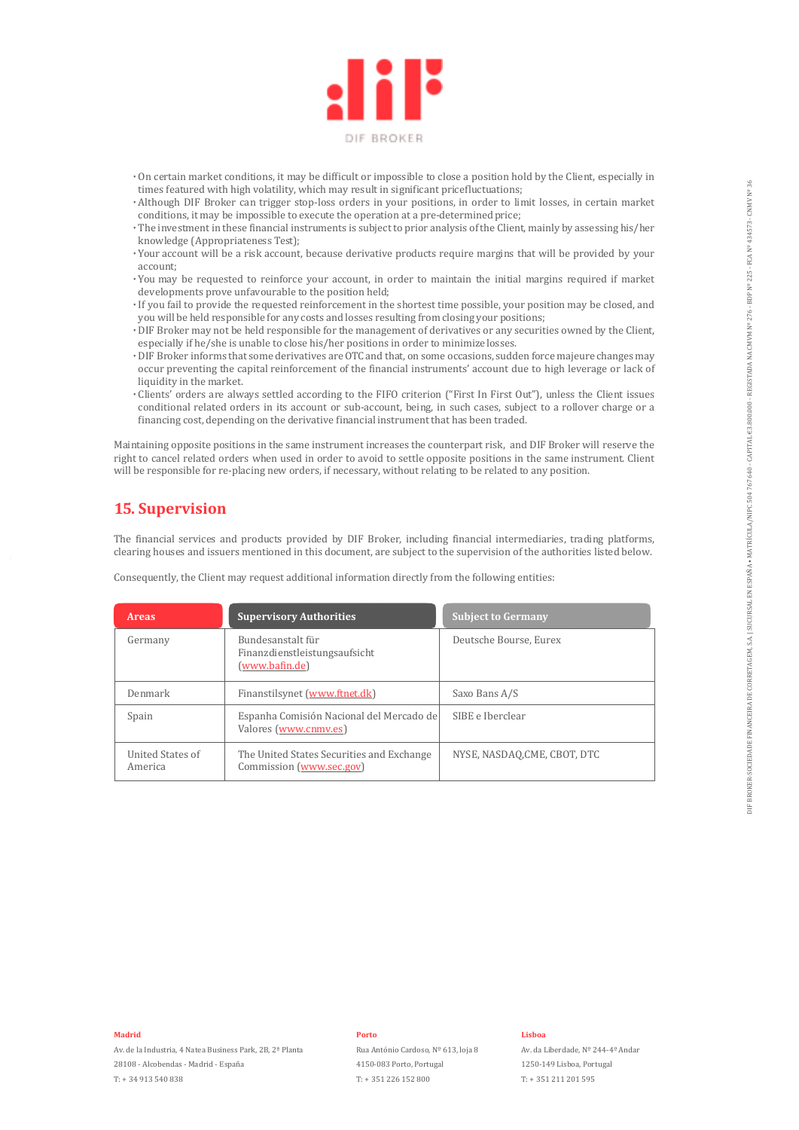

- **·** On certain market conditions, it may be difficult or impossible to close a position hold by the Client, especially in times featured with high volatility, which may result in significant price fluctuations;
- **·** Although DIF Broker can trigger stop-loss orders in your positions, in order to limit losses, in certain market conditions, it may be impossible to execute the operation at a pre-determined price;
- **·** The investment in these financial instruments is subject to prior analysis of the Client, mainly by assessing his/her knowledge (Appropriateness Test);
- **·** Your account will be a risk account, because derivative products require margins that will be provided by your account;
- **·** You may be requested to reinforce your account, in order to maintain the initial margins required if market developments prove unfavourable to the position held;
- **·** If you fail to provide the requested reinforcement in the shortest time possible, your position may be closed, and you will be held responsible for any costs and losses resulting from closing your positions;
- **·** DIF Broker may not be held responsible for the management of derivatives or any securities owned by the Client, especially if he/she is unable to close his/her positions in order to minimize losses.
- **·** DIF Broker informs that some derivatives are OTC and that, on some occasions, sudden force majeure changes may occur preventing the capital reinforcement of the financial instruments' account due to high leverage or lack of liquidity in the market.
- **·** Clients' orders are always settled according to the FIFO criterion ("First In First Out"), unless the Client issues conditional related orders in its account or sub-account, being, in such cases, subject to a rollover charge or a financing cost, depending on the derivative financial instrument that has been traded.

Maintaining opposite positions in the same instrument increases the counterpart risk, and DIF Broker will reserve the right to cancel related orders when used in order to avoid to settle opposite positions in the same instrument. Client will be responsible for re-placing new orders, if necessary, without relating to be related to any position.

# **15. Supervision**

The financial services and products provided by DIF Broker, including financial intermediaries, trading platforms, clearing houses and issuers mentioned in this document, are subject to the supervision of the authorities listed below.

| <b>Areas</b>                | <b>Supervisory Authorities</b>                                                | <b>Subject to Germany</b>    |
|-----------------------------|-------------------------------------------------------------------------------|------------------------------|
| Germany                     | Bundesanstalt für<br>Finanzdienstleistungsaufsicht<br>( <u>www.bafin.de</u> ) | Deutsche Bourse, Eurex       |
| Denmark                     | Finanstilsynet (www.ftnet.dk)                                                 | Saxo Bans A/S                |
| Spain                       | Espanha Comisión Nacional del Mercado de<br>Valores (www.cnmv.es)             | SIBE e Iberclear             |
| United States of<br>America | The United States Securities and Exchange<br>Commission (www.sec.gov)         | NYSE, NASDAQ, CME, CBOT, DTC |

Consequently, the Client may request additional information directly from the following entities:

**Madrid**

#### **Porto**

Rua António Cardoso, Nº 613, loja 8 4150-083 Porto, Portugal T: + 351 226 152 800

#### **Lisboa**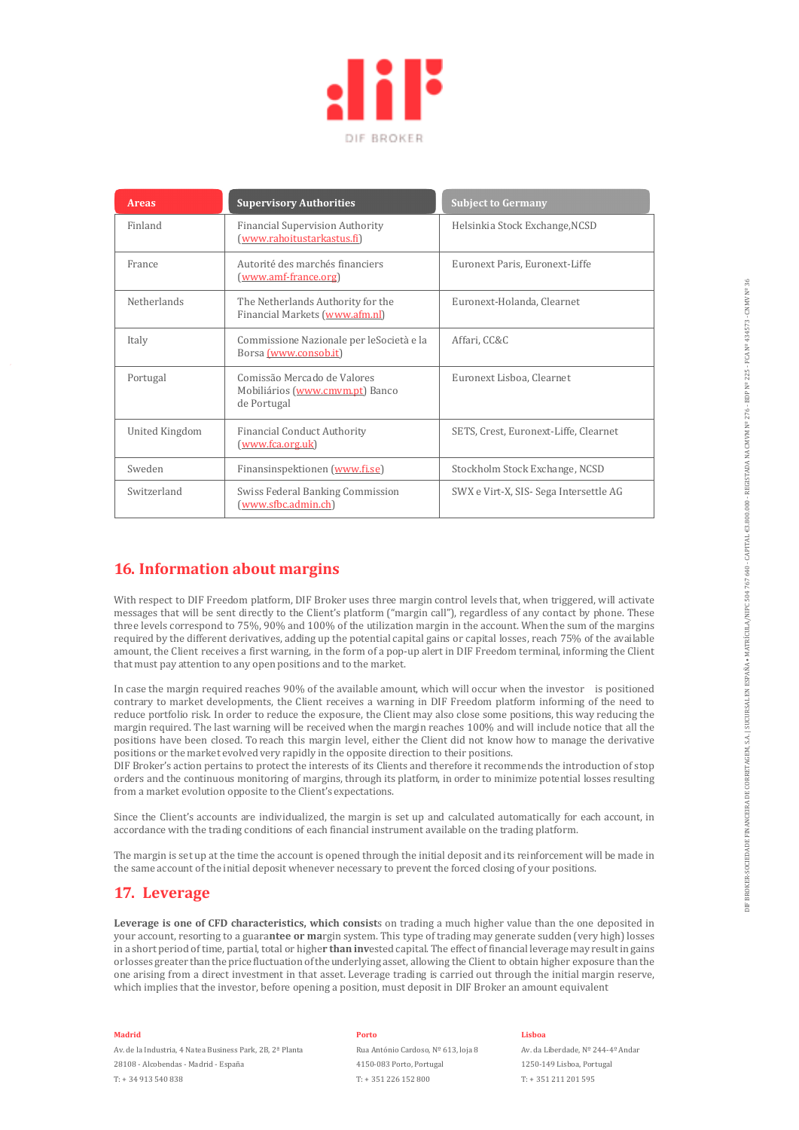

| <b>Areas</b>   | <b>Supervisory Authorities</b>                                                | <b>Subject to Germany</b>              |
|----------------|-------------------------------------------------------------------------------|----------------------------------------|
| Finland        | <b>Financial Supervision Authority</b><br>(www.rahoitustarkastus.fi)          | Helsinkia Stock Exchange, NCSD         |
| France         | Autorité des marchés financiers<br>(www.amf-france.org)                       | Euronext Paris, Euronext-Liffe         |
| Netherlands    | The Netherlands Authority for the<br>Financial Markets (www.afm.nl)           | Euronext-Holanda, Clearnet             |
| Italy          | Commissione Nazionale per leSocietà e la<br>Borsa (www.consob.it)             | Affari, CC&C                           |
| Portugal       | Comissão Mercado de Valores<br>Mobiliários (www.cmvm.pt) Banco<br>de Portugal | Euronext Lisboa, Clearnet              |
| United Kingdom | <b>Financial Conduct Authority</b><br><u>(www.fca.org.uk)</u>                 | SETS, Crest, Euronext-Liffe, Clearnet  |
| Sweden         | Finansinspektionen (www.fi.se)                                                | Stockholm Stock Exchange, NCSD         |
| Switzerland    | Swiss Federal Banking Commission<br>(www.sfbc.admin.ch)                       | SWX e Virt-X, SIS- Sega Intersettle AG |

# **16. Information about margins**

With respect to DIF Freedom platform, DIF Broker uses three margin control levels that, when triggered, will activate messages that will be sent directly to the Client's platform ("margin call"), regardless of any contact by phone. These three levels correspond to 75%, 90% and 100% of the utilization margin in the account. When the sum of the margins required by the different derivatives, adding up the potential capital gains or capital losses, reach 75% of the available amount, the Client receives a first warning, in the form of a pop-up alert in DIF Freedom terminal, informing the Client that must pay attention to any open positions and to the market.

In case the margin required reaches 90% of the available amount, which will occur when the investor is positioned contrary to market developments, the Client receives a warning in DIF Freedom platform informing of the need to reduce portfolio risk. In order to reduce the exposure, the Client may also close some positions, this way reducing the margin required. The last warning will be received when the margin reaches 100% and will include notice that all the positions have been closed. To reach this margin level, either the Client did not know how to manage the derivative positions or the market evolved very rapidly in the opposite direction to their positions.

DIF Broker's action pertains to protect the interests of its Clients and therefore it recommends the introduction of stop orders and the continuous monitoring of margins, through its platform, in order to minimize potential losses resulting from a market evolution opposite to the Client's expectations.

Since the Client's accounts are individualized, the margin is set up and calculated automatically for each account, in accordance with the trading conditions of each financial instrument available on the trading platform.

The margin is set up at the time the account is opened through the initial deposit and its reinforcement will be made in the same account of the initial deposit whenever necessary to prevent the forced closing of your positions.

# **17. Leverage**

**Leverage is one of CFD characteristics, which consist**s on trading a much higher value than the one deposited in your account, resorting to a guara**ntee or ma**rgin system. This type of trading may generate sudden (very high) losses in a short period of time, partial, total or highe**r than inv**ested capital. The effect of financial leverage may result in gains or losses greater than the price fluctuation of the underlying asset, allowing the Client to obtain higher exposure than the one arising from a direct investment in that asset. Leverage trading is carried out through the initial margin reserve, which implies that the investor, before opening a position, must deposit in DIF Broker an amount equivalent

#### **Madrid**

Av. de la Industria, 4 Natea Business Park, 2B, 2ª Planta 28108 - Alcobendas - Madrid - España T: + 34 913 540 838

#### **Porto**

Rua António Cardoso, Nº 613, loja 8 4150-083 Porto, Portugal T: + 351 226 152 800

#### **Lisboa**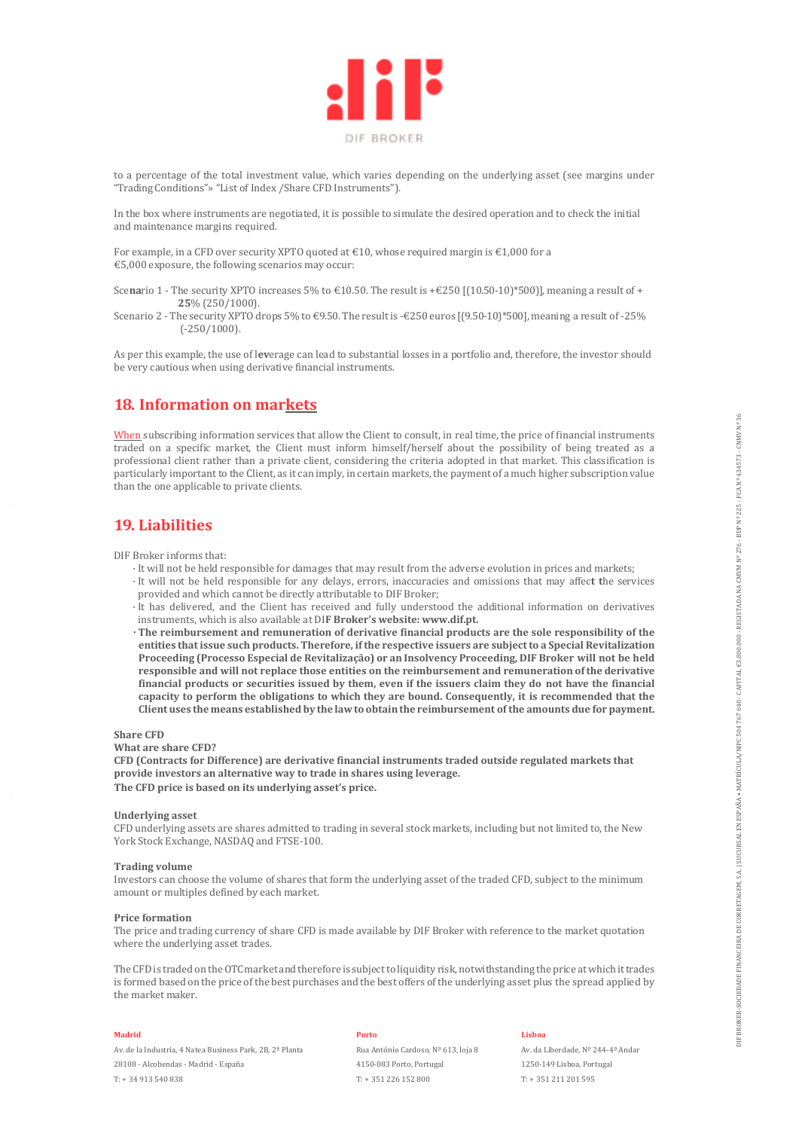

to a percentage of the total investment value, which varies depending on the underlying asset (see margins under "Trading Conditions"» "List of Index /Share CFD Instruments").

In the box where instruments are negotiated, it is possible to simulate the desired operation and to check the initial and maintenance margins required.

For example, in a CFD over security XPTO quoted at €10, whose required margin is €1,000 for a €5,000 exposure, the following scenarios may occur:

- Scenario 1 The security XPTO increases 5% to  $\in$ 10.50. The result is + $\in$ 250 [(10.50-10)\*500]], meaning a result of + **25**% (250/1000).
- Scenario 2 The security XPTO drops 5% to €9.50. The result is -€250 euros [(9.50-10)\*500], meaning a result of -25%  $(-250/1000)$ .

As per this example, the use of l**ev**erage can lead to substantial losses in a portfolio and, therefore, the investor should be very cautious when using derivative financial instruments.

# **18. Information on markets**

When subscribing information services that allow the Client to consult, in real time, the price of financial instruments traded on a specific market, the Client must inform himself/herself about the possibility of being treated as a professional client rather than a private client, considering the criteria adopted in that market. This classification is particularly important to the Client, as it can imply, in certain markets, the payment of a much higher subscription value than the one applicable to private clients.

# **19. Liabilities**

DIF Broker informs that:

- · It will not be held responsible for damages that may result from the adverse evolution in prices and markets;
- · It will not be held responsible for any delays, errors, inaccuracies and omissions that may affec**t t**he services provided and which cannot be directly attributable to DIF Broker;
- · It has delivered, and the Client has received and fully understood the additional information on derivatives instruments, which is also available at DI**F Broker's website: www.dif.pt.**
- **· The reimbursement and remuneration of derivative financial products are the sole responsibility of the entities that issue such products. Therefore, if the respective issuers are subject to a Special Revitalization Proceeding (Processo Especial de Revitalização) or an Insolvency Proceeding, DIF Broker will not be held responsible and will not replace those entities on the reimbursement and remuneration of the derivative financial products or securities issued by them, even if the issuers claim they do not have the financial capacity to perform the obligations to which they are bound. Consequently, it is recommended that the Client uses the means established by the law to obtain the reimbursement of the amounts due for payment.**

#### **Share CFD**

**What are share CFD?**

**CFD (Contracts for Difference) are derivative financial instruments traded outside regulated markets that provide investors an alternative way to trade in shares using leverage. The CFD price is based on its underlying asset's price.**

#### **Underlying asset**

CFD underlying assets are shares admitted to trading in several stock markets, including but not limited to, the New York Stock Exchange, NASDAQ and FTSE-100.

#### **Trading volume**

Investors can choose the volume of shares that form the underlying asset of the traded CFD, subject to the minimum amount or multiples defined by each market.

#### **Price formation**

The price and trading currency of share CFD is made available by DIF Broker with reference to the market quotation where the underlying asset trades.

The CFD is traded on the OTC market and therefore is subject to liquidity risk, notwithstanding the price at which it trades is formed based on the price of the best purchases and the best offers of the underlying asset plus the spread applied by the market maker.

#### **Madrid**

Av. de la Industria, 4 Natea Business Park, 2B, 2ª Planta 28108 - Alcobendas - Madrid - España T: + 34 913 540 838

#### **Porto**

Rua António Cardoso, Nº 613, loja 8 4150-083 Porto, Portugal T: + 351 226 152 800

**Lisboa**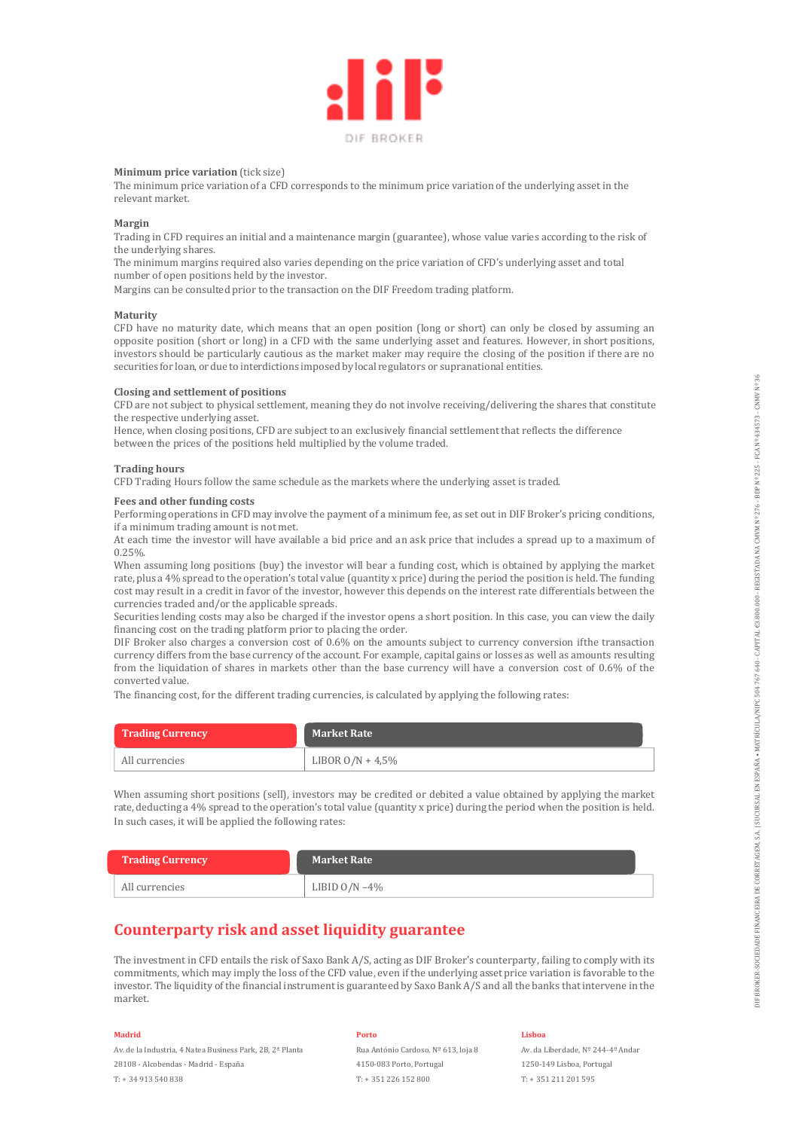

#### **Minimum price variation** (tick size)

The minimum price variation of a CFD corresponds to the minimum price variation of the underlying asset in the relevant market.

#### **Margin**

Trading in CFD requires an initial and a maintenance margin (guarantee), whose value varies according to the risk of the underlying shares.

The minimum margins required also varies depending on the price variation of CFD's underlying asset and total number of open positions held by the investor.

Margins can be consulted prior to the transaction on the DIF Freedom trading platform.

#### **Maturity**

CFD have no maturity date, which means that an open position (long or short) can only be closed by assuming an opposite position (short or long) in a CFD with the same underlying asset and features. However, in short positions, investors should be particularly cautious as the market maker may require the closing of the position if there are no securities for loan, or due to interdictions imposed by local regulators or supranational entities.

#### **Closing and settlement of positions**

CFD are not subject to physical settlement, meaning they do not involve receiving/delivering the shares that constitute the respective underlying asset.

Hence, when closing positions, CFD are subject to an exclusively financial settlement that reflects the difference between the prices of the positions held multiplied by the volume traded.

#### **Trading hours**

CFD Trading Hours follow the same schedule as the markets where the underlying asset is traded.

#### **Fees and other funding costs**

Performing operations in CFD may involve the payment of a minimum fee, as set out in DIF Broker's pricing conditions, if a minimum trading amount is not met.

At each time the investor will have available a bid price and an ask price that includes a spread up to a maximum of 0.25%.

When assuming long positions (buy) the investor will bear a funding cost, which is obtained by applying the market rate, plus a 4% spread to the operation's total value (quantity x price) during the period the position is held. The funding cost may result in a credit in favor of the investor, however this depends on the interest rate differentials between the currencies traded and/or the applicable spreads.

Securities lending costs may also be charged if the investor opens a short position. In this case, you can view the daily financing cost on the trading platform prior to placing the order.

DIF Broker also charges a conversion cost of 0.6% on the amounts subject to currency conversion if the transaction currency differs from the base currency of the account. For example, capital gains or losses as well as amounts resulting from the liquidation of shares in markets other than the base currency will have a conversion cost of 0.6% of the converted value.

The financing cost, for the different trading currencies, is calculated by applying the following rates:

| <b>Trading Currency</b> | <b>Market Rate</b>  |
|-------------------------|---------------------|
| All currencies          | LIBOR $O/N + 4.5\%$ |

When assuming short positions (sell), investors may be credited or debited a value obtained by applying the market rate, deducting a 4% spread to the operation's total value (quantity x price) during the period when the position is held. In such cases, it will be applied the following rates:

| <b>Trading Currency</b> | <b>Market Rate</b> |
|-------------------------|--------------------|
| All currencies          | LIBID $O/N - 4\%$  |

# **Counterparty risk and asset liquidity guarantee**

The investment in CFD entails the risk of Saxo Bank A/S, acting as DIF Broker's counterparty, failing to comply with its commitments, which may imply the loss of the CFD value, even if the underlying asset price variation is favorable to the investor. The liquidity of the financial instrument is guaranteed by Saxo Bank A/S and all the banks that intervene in the market.

#### **Madrid**

Av. de la Industria, 4 Natea Business Park, 2B, 2ª Planta 28108 - Alcobendas - Madrid - España T: + 34 913 540 838

#### **Porto**

Rua António Cardoso, Nº 613, loja 8 4150-083 Porto, Portugal T: + 351 226 152 800

#### **Lisboa**

Av. da Liberdade, Nº 244-4º Andar

1250-149 Lisboa, Portugal T: + 351 211 201 595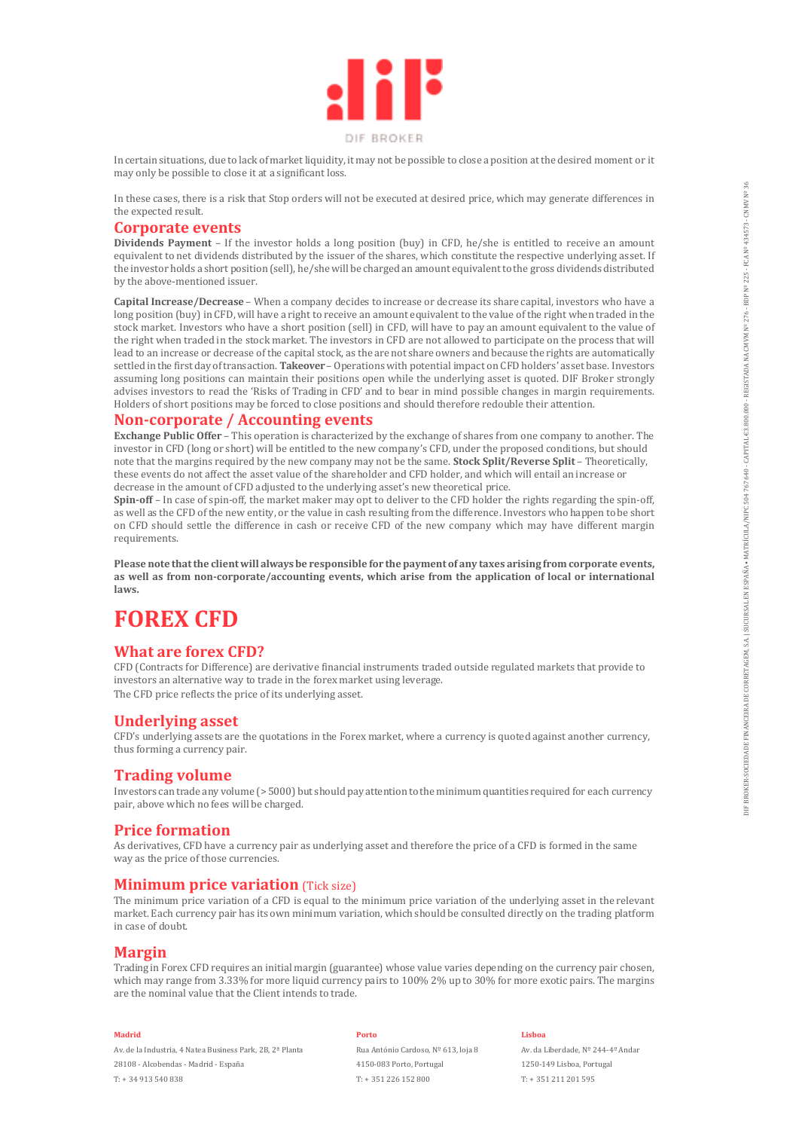

In certain situations, due to lack of market liquidity, it may not be possible to close a position at the desired moment or it may only be possible to close it at a significant loss.

In these cases, there is a risk that Stop orders will not be executed at desired price, which may generate differences in the expected result.

### **Corporate events**

**Dividends Payment** – If the investor holds a long position (buy) in CFD, he/she is entitled to receive an amount equivalent to net dividends distributed by the issuer of the shares, which constitute the respective underlying asset. If the investor holds a short position (sell), he/she will be charged an amount equivalent to the gross dividends distributed by the above-mentioned issuer.

**Capital Increase/Decrease** – When a company decides to increase or decrease its share capital, investors who have a long position (buy) in CFD, will have a right to receive an amount equivalent to the value of the right when traded in the stock market. Investors who have a short position (sell) in CFD, will have to pay an amount equivalent to the value of the right when traded in the stock market. The investors in CFD are not allowed to participate on the process that will lead to an increase or decrease of the capital stock, as the are not share owners and because the rights are automatically settled in the first day of transaction. **Takeover** – Operations with potential impact on CFD holders' asset base. Investors assuming long positions can maintain their positions open while the underlying asset is quoted. DIF Broker strongly advises investors to read the 'Risks of Trading in CFD' and to bear in mind possible changes in margin requirements. Holders of short positions may be forced to close positions and should therefore redouble their attention.

### **Non-corporate / Accounting events**

**Exchange Public Offer –** This operation is characterized by the exchange of shares from one company to another. The investor in CFD (long or short) will be entitled to the new company's CFD, under the proposed conditions, but should note that the margins required by the new company may not be the same. **Stock Split/Reverse Split** – Theoretically, these events do not affect the asset value of the shareholder and CFD holder, and which will entail an increase or decrease in the amount of CFD adjusted to the underlying asset's new theoretical price.

**Spin-off** – In case of spin-off, the market maker may opt to deliver to the CFD holder the rights regarding the spin-off, as well as the CFD of the new entity, or the value in cash resulting from the difference. Investors who happen to be short on CFD should settle the difference in cash or receive CFD of the new company which may have different margin requirements.

**Please note that the client will always be responsible for the payment of any taxes arising from corporate events, as well as from non-corporate/accounting events, which arise from the application of local or international laws.**

# **FOREX CFD**

## **What are forex CFD?**

CFD (Contracts for Difference) are derivative financial instruments traded outside regulated markets that provide to investors an alternative way to trade in the forex market using leverage. The CFD price reflects the price of its underlying asset.

# **Underlying asset**

CFD's underlying assets are the quotations in the Forex market, where a currency is quoted against another currency, thus forming a currency pair.

### **Trading volume**

Investors can trade any volume (> 5000) but should pay attention to the minimum quantities required for each currency pair, above which no fees will be charged.

## **Price formation**

As derivatives, CFD have a currency pair as underlying asset and therefore the price of a CFD is formed in the same way as the price of those currencies.

## **Minimum price variation** *(Tick size)*

The minimum price variation of a CFD is equal to the minimum price variation of the underlying asset in the relevant market. Each currency pair has its own minimum variation, which should be consulted directly on the trading platform in case of doubt.

## **Margin**

Trading in Forex CFD requires an initial margin (guarantee) whose value varies depending on the currency pair chosen, which may range from 3.33% for more liquid currency pairs to 100% 2% up to 30% for more exotic pairs. The margins are the nominal value that the Client intends to trade.

#### **Madrid**

Av. de la Industria, 4 Natea Business Park, 2B, 2ª Planta 28108 - Alcobendas - Madrid - España T: + 34 913 540 838

#### **Porto**

Rua António Cardoso, Nº 613, loja 8 4150-083 Porto, Portugal T: + 351 226 152 800

#### **Lisboa**